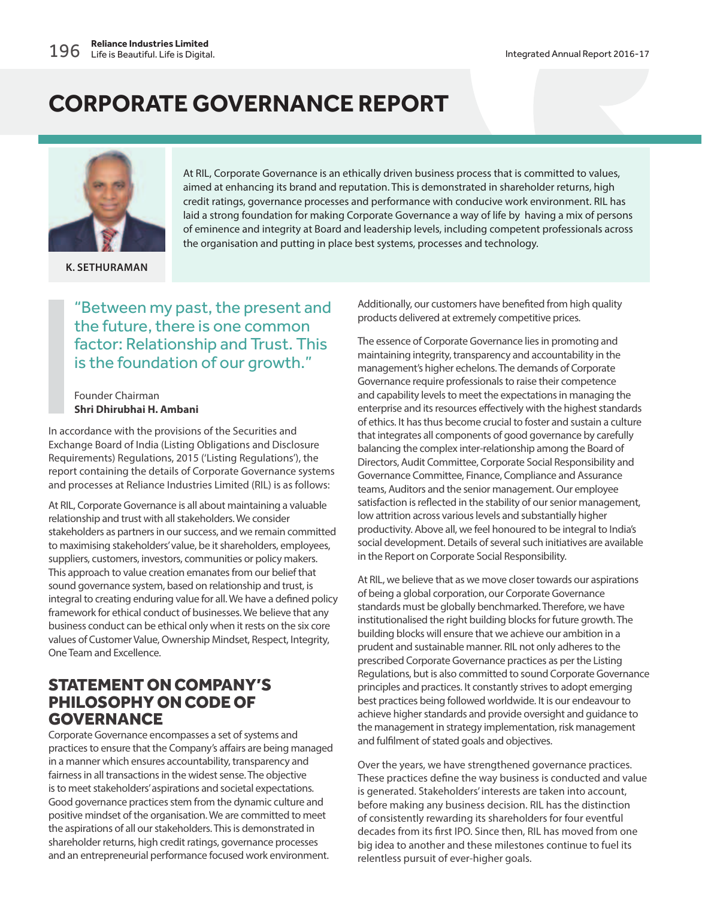

**K. SETHURAMAN**

At RIL, Corporate Governance is an ethically driven business process that is committed to values, aimed at enhancing its brand and reputation. This is demonstrated in shareholder returns, high credit ratings, governance processes and performance with conducive work environment. RIL has laid a strong foundation for making Corporate Governance a way of life by having a mix of persons of eminence and integrity at Board and leadership levels, including competent professionals across the organisation and putting in place best systems, processes and technology.

### "Between my past, the present and the future, there is one common factor: Relationship and Trust. This is the foundation of our growth."

Founder Chairman **Shri Dhirubhai H. Ambani**

In accordance with the provisions of the Securities and Exchange Board of India (Listing Obligations and Disclosure Requirements) Regulations, 2015 ('Listing Regulations'), the report containing the details of Corporate Governance systems and processes at Reliance Industries Limited (RIL) is as follows:

At RIL, Corporate Governance is all about maintaining a valuable relationship and trust with all stakeholders. We consider stakeholders as partners in our success, and we remain committed to maximising stakeholders' value, be it shareholders, employees, suppliers, customers, investors, communities or policy makers. This approach to value creation emanates from our belief that sound governance system, based on relationship and trust, is integral to creating enduring value for all. We have a defined policy framework for ethical conduct of businesses. We believe that any business conduct can be ethical only when it rests on the six core values of Customer Value, Ownership Mindset, Respect, Integrity, One Team and Excellence.

### STATEMENT ON COMPANY'S PHILOSOPHY ON CODE OF GOVERNANCE

Corporate Governance encompasses a set of systems and practices to ensure that the Company's affairs are being managed in a manner which ensures accountability, transparency and fairness in all transactions in the widest sense. The objective is to meet stakeholders' aspirations and societal expectations. Good governance practices stem from the dynamic culture and positive mindset of the organisation. We are committed to meet the aspirations of all our stakeholders. This is demonstrated in shareholder returns, high credit ratings, governance processes and an entrepreneurial performance focused work environment.

Additionally, our customers have benefited from high quality products delivered at extremely competitive prices.

The essence of Corporate Governance lies in promoting and maintaining integrity, transparency and accountability in the management's higher echelons. The demands of Corporate Governance require professionals to raise their competence and capability levels to meet the expectations in managing the enterprise and its resources effectively with the highest standards of ethics. It has thus become crucial to foster and sustain a culture that integrates all components of good governance by carefully balancing the complex inter-relationship among the Board of Directors, Audit Committee, Corporate Social Responsibility and Governance Committee, Finance, Compliance and Assurance teams, Auditors and the senior management. Our employee satisfaction is reflected in the stability of our senior management, low attrition across various levels and substantially higher productivity. Above all, we feel honoured to be integral to India's social development. Details of several such initiatives are available in the Report on Corporate Social Responsibility.

At RIL, we believe that as we move closer towards our aspirations of being a global corporation, our Corporate Governance standards must be globally benchmarked. Therefore, we have institutionalised the right building blocks for future growth. The building blocks will ensure that we achieve our ambition in a prudent and sustainable manner. RIL not only adheres to the prescribed Corporate Governance practices as per the Listing Regulations, but is also committed to sound Corporate Governance principles and practices. It constantly strives to adopt emerging best practices being followed worldwide. It is our endeavour to achieve higher standards and provide oversight and guidance to the management in strategy implementation, risk management and fulfilment of stated goals and objectives.

Over the years, we have strengthened governance practices. These practices define the way business is conducted and value is generated. Stakeholders' interests are taken into account, before making any business decision. RIL has the distinction of consistently rewarding its shareholders for four eventful decades from its first IPO. Since then, RIL has moved from one big idea to another and these milestones continue to fuel its relentless pursuit of ever-higher goals.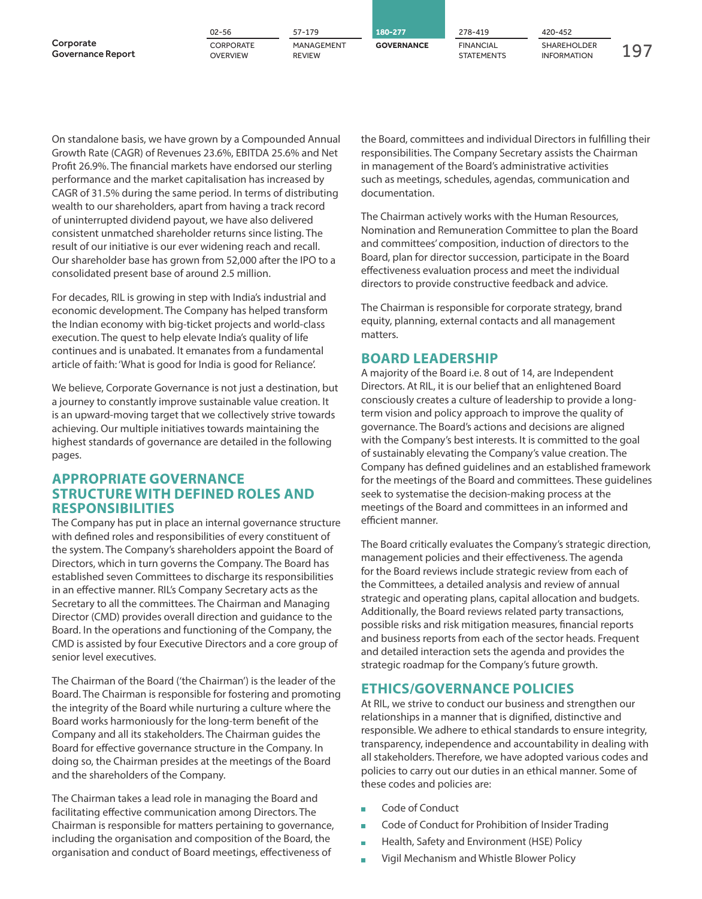|                                       | $02 - 56$                           | 57-179                      | 180-277           | 278-419                        | 420-452                                  |  |
|---------------------------------------|-------------------------------------|-----------------------------|-------------------|--------------------------------|------------------------------------------|--|
| Corporate<br><b>Governance Report</b> | <b>CORPORATE</b><br><b>OVERVIEW</b> | MANAGEMENT<br><b>REVIEW</b> | <b>GOVERNANCE</b> | <b>FINANCIAL</b><br>STATEMENTS | <b>SHAREHOLDER</b><br><b>INFORMATION</b> |  |

On standalone basis, we have grown by a Compounded Annual Growth Rate (CAGR) of Revenues 23.6%, EBITDA 25.6% and Net Profit 26.9%. The financial markets have endorsed our sterling performance and the market capitalisation has increased by CAGR of 31.5% during the same period. In terms of distributing wealth to our shareholders, apart from having a track record of uninterrupted dividend payout, we have also delivered consistent unmatched shareholder returns since listing. The result of our initiative is our ever widening reach and recall. Our shareholder base has grown from 52,000 after the IPO to a consolidated present base of around 2.5 million.

For decades, RIL is growing in step with India's industrial and economic development. The Company has helped transform the Indian economy with big-ticket projects and world-class execution. The quest to help elevate India's quality of life continues and is unabated. It emanates from a fundamental article of faith: 'What is good for India is good for Reliance'.

We believe, Corporate Governance is not just a destination, but a journey to constantly improve sustainable value creation. It is an upward-moving target that we collectively strive towards achieving. Our multiple initiatives towards maintaining the highest standards of governance are detailed in the following pages.

### **APPROPRIATE GOVERNANCE STRUCTURE WITH DEFINED ROLES AND RESPONSIBILITIES**

The Company has put in place an internal governance structure with defined roles and responsibilities of every constituent of the system. The Company's shareholders appoint the Board of Directors, which in turn governs the Company. The Board has established seven Committees to discharge its responsibilities in an effective manner. RIL's Company Secretary acts as the Secretary to all the committees. The Chairman and Managing Director (CMD) provides overall direction and guidance to the Board. In the operations and functioning of the Company, the CMD is assisted by four Executive Directors and a core group of senior level executives.

The Chairman of the Board ('the Chairman') is the leader of the Board. The Chairman is responsible for fostering and promoting the integrity of the Board while nurturing a culture where the Board works harmoniously for the long-term benefit of the Company and all its stakeholders. The Chairman guides the Board for effective governance structure in the Company. In doing so, the Chairman presides at the meetings of the Board and the shareholders of the Company.

The Chairman takes a lead role in managing the Board and facilitating effective communication among Directors. The Chairman is responsible for matters pertaining to governance, including the organisation and composition of the Board, the organisation and conduct of Board meetings, effectiveness of

the Board, committees and individual Directors in fulfilling their responsibilities. The Company Secretary assists the Chairman in management of the Board's administrative activities such as meetings, schedules, agendas, communication and documentation.

The Chairman actively works with the Human Resources, Nomination and Remuneration Committee to plan the Board and committees' composition, induction of directors to the Board, plan for director succession, participate in the Board effectiveness evaluation process and meet the individual directors to provide constructive feedback and advice.

The Chairman is responsible for corporate strategy, brand equity, planning, external contacts and all management matters.

### **BOARD LEADERSHIP**

A majority of the Board i.e. 8 out of 14, are Independent Directors. At RIL, it is our belief that an enlightened Board consciously creates a culture of leadership to provide a longterm vision and policy approach to improve the quality of governance. The Board's actions and decisions are aligned with the Company's best interests. It is committed to the goal of sustainably elevating the Company's value creation. The Company has defined guidelines and an established framework for the meetings of the Board and committees. These guidelines seek to systematise the decision-making process at the meetings of the Board and committees in an informed and efficient manner.

The Board critically evaluates the Company's strategic direction, management policies and their effectiveness. The agenda for the Board reviews include strategic review from each of the Committees, a detailed analysis and review of annual strategic and operating plans, capital allocation and budgets. Additionally, the Board reviews related party transactions, possible risks and risk mitigation measures, financial reports and business reports from each of the sector heads. Frequent and detailed interaction sets the agenda and provides the strategic roadmap for the Company's future growth.

### **ETHICS/GOVERNANCE POLICIES**

At RIL, we strive to conduct our business and strengthen our relationships in a manner that is dignified, distinctive and responsible. We adhere to ethical standards to ensure integrity, transparency, independence and accountability in dealing with all stakeholders. Therefore, we have adopted various codes and policies to carry out our duties in an ethical manner. Some of these codes and policies are:

- Code of Conduct
- Code of Conduct for Prohibition of Insider Trading
- Health, Safety and Environment (HSE) Policy
- Vigil Mechanism and Whistle Blower Policy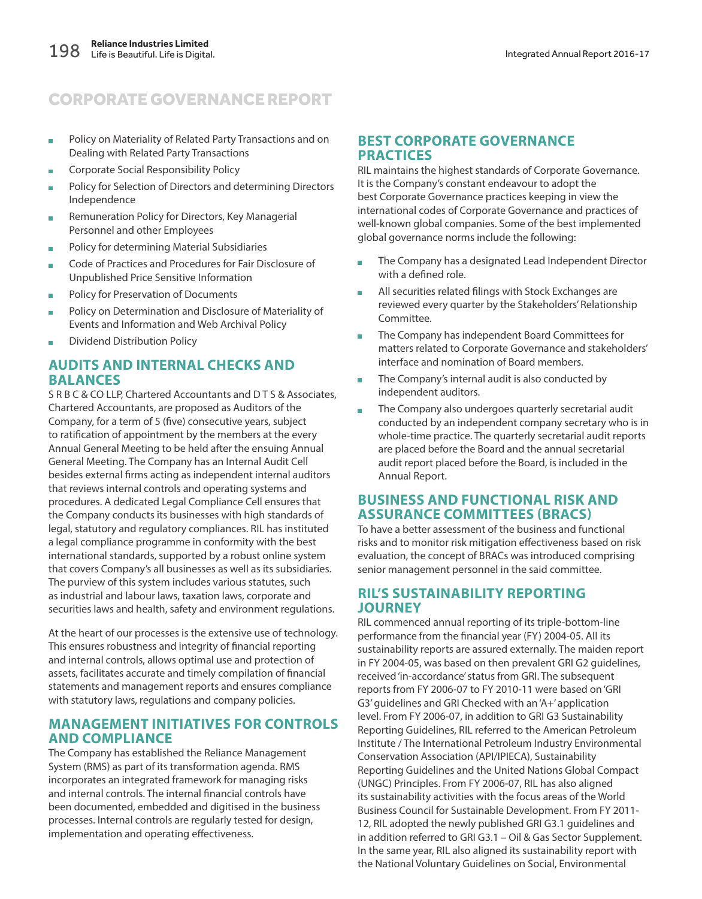- **Policy on Materiality of Related Party Transactions and on** Dealing with Related Party Transactions
- **Corporate Social Responsibility Policy**
- **Policy for Selection of Directors and determining Directors** Independence
- **Remuneration Policy for Directors, Key Managerial** Personnel and other Employees
- **Policy for determining Material Subsidiaries**
- Code of Practices and Procedures for Fair Disclosure of Unpublished Price Sensitive Information
- **Policy for Preservation of Documents**
- Policy on Determination and Disclosure of Materiality of Events and Information and Web Archival Policy
- **Dividend Distribution Policy**

### **AUDITS AND INTERNAL CHECKS AND BALANCES**

S R B C & CO LLP, Chartered Accountants and D T S & Associates, Chartered Accountants, are proposed as Auditors of the Company, for a term of 5 (five) consecutive years, subject to ratification of appointment by the members at the every Annual General Meeting to be held after the ensuing Annual General Meeting. The Company has an Internal Audit Cell besides external firms acting as independent internal auditors that reviews internal controls and operating systems and procedures. A dedicated Legal Compliance Cell ensures that the Company conducts its businesses with high standards of legal, statutory and regulatory compliances. RIL has instituted a legal compliance programme in conformity with the best international standards, supported by a robust online system that covers Company's all businesses as well as its subsidiaries. The purview of this system includes various statutes, such as industrial and labour laws, taxation laws, corporate and securities laws and health, safety and environment regulations.

At the heart of our processes is the extensive use of technology. This ensures robustness and integrity of financial reporting and internal controls, allows optimal use and protection of assets, facilitates accurate and timely compilation of financial statements and management reports and ensures compliance with statutory laws, regulations and company policies.

### **MANAGEMENT INITIATIVES FOR CONTROLS AND COMPLIANCE**

The Company has established the Reliance Management System (RMS) as part of its transformation agenda. RMS incorporates an integrated framework for managing risks and internal controls. The internal financial controls have been documented, embedded and digitised in the business processes. Internal controls are regularly tested for design, implementation and operating effectiveness.

### **BEST CORPORATE GOVERNANCE PRACTICES**

RIL maintains the highest standards of Corporate Governance. It is the Company's constant endeavour to adopt the best Corporate Governance practices keeping in view the international codes of Corporate Governance and practices of well-known global companies. Some of the best implemented global governance norms include the following:

- The Company has a designated Lead Independent Director with a defined role.
- **All securities related filings with Stock Exchanges are** reviewed every quarter by the Stakeholders' Relationship Committee.
- The Company has independent Board Committees for matters related to Corporate Governance and stakeholders' interface and nomination of Board members.
- The Company's internal audit is also conducted by independent auditors.
- The Company also undergoes quarterly secretarial audit conducted by an independent company secretary who is in whole-time practice. The quarterly secretarial audit reports are placed before the Board and the annual secretarial audit report placed before the Board, is included in the Annual Report.

### **BUSINESS AND FUNCTIONAL RISK AND ASSURANCE COMMITTEES (BRACS)**

To have a better assessment of the business and functional risks and to monitor risk mitigation effectiveness based on risk evaluation, the concept of BRACs was introduced comprising senior management personnel in the said committee.

### **RIL'S SUSTAINABILITY REPORTING JOURNEY**

RIL commenced annual reporting of its triple-bottom-line performance from the financial year (FY) 2004-05. All its sustainability reports are assured externally. The maiden report in FY 2004-05, was based on then prevalent GRI G2 guidelines, received 'in-accordance' status from GRI. The subsequent reports from FY 2006-07 to FY 2010-11 were based on 'GRI G3' guidelines and GRI Checked with an 'A+' application level. From FY 2006-07, in addition to GRI G3 Sustainability Reporting Guidelines, RIL referred to the American Petroleum Institute / The International Petroleum Industry Environmental Conservation Association (API/IPIECA), Sustainability Reporting Guidelines and the United Nations Global Compact (UNGC) Principles. From FY 2006-07, RIL has also aligned its sustainability activities with the focus areas of the World Business Council for Sustainable Development. From FY 2011- 12, RIL adopted the newly published GRI G3.1 guidelines and in addition referred to GRI G3.1 – Oil & Gas Sector Supplement. In the same year, RIL also aligned its sustainability report with the National Voluntary Guidelines on Social, Environmental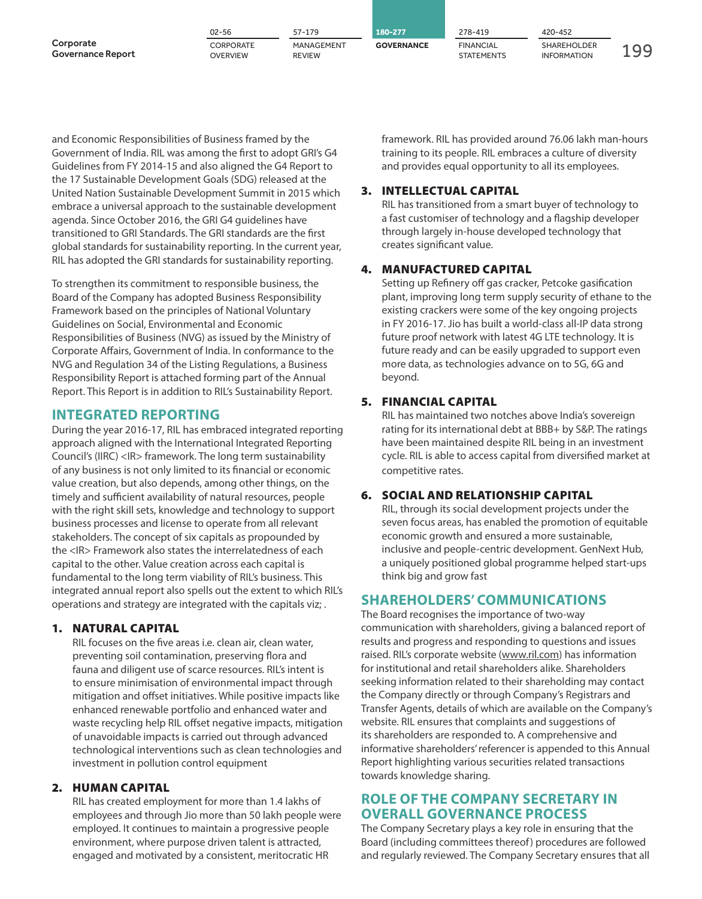|                                       | $02 - 56$                    | 57-179                      | 180-277           | 278-419                               | 420-452                                  |  |
|---------------------------------------|------------------------------|-----------------------------|-------------------|---------------------------------------|------------------------------------------|--|
| Corporate<br><b>Governance Report</b> | CORPORATE<br><b>OVERVIEW</b> | MANAGEMENT<br><b>REVIEW</b> | <b>GOVERNANCE</b> | <b>FINANCIAL</b><br><b>STATEMENTS</b> | <b>SHAREHOLDER</b><br><b>INFORMATION</b> |  |

and Economic Responsibilities of Business framed by the Government of India. RIL was among the first to adopt GRI's G4 Guidelines from FY 2014-15 and also aligned the G4 Report to the 17 Sustainable Development Goals (SDG) released at the United Nation Sustainable Development Summit in 2015 which embrace a universal approach to the sustainable development agenda. Since October 2016, the GRI G4 guidelines have transitioned to GRI Standards. The GRI standards are the first global standards for sustainability reporting. In the current year, RIL has adopted the GRI standards for sustainability reporting.

To strengthen its commitment to responsible business, the Board of the Company has adopted Business Responsibility Framework based on the principles of National Voluntary Guidelines on Social, Environmental and Economic Responsibilities of Business (NVG) as issued by the Ministry of Corporate Affairs, Government of India. In conformance to the NVG and Regulation 34 of the Listing Regulations, a Business Responsibility Report is attached forming part of the Annual Report. This Report is in addition to RIL's Sustainability Report.

### **INTEGRATED REPORTING**

During the year 2016-17, RIL has embraced integrated reporting approach aligned with the International Integrated Reporting Council's (IIRC) <IR> framework. The long term sustainability of any business is not only limited to its financial or economic value creation, but also depends, among other things, on the timely and sufficient availability of natural resources, people with the right skill sets, knowledge and technology to support business processes and license to operate from all relevant stakeholders. The concept of six capitals as propounded by the <IR> Framework also states the interrelatedness of each capital to the other. Value creation across each capital is fundamental to the long term viability of RIL's business. This integrated annual report also spells out the extent to which RIL's operations and strategy are integrated with the capitals viz; .

#### **1. NATURAL CAPITAL**

 RIL focuses on the five areas i.e. clean air, clean water, preventing soil contamination, preserving flora and fauna and diligent use of scarce resources. RIL's intent is to ensure minimisation of environmental impact through mitigation and offset initiatives. While positive impacts like enhanced renewable portfolio and enhanced water and waste recycling help RIL offset negative impacts, mitigation of unavoidable impacts is carried out through advanced technological interventions such as clean technologies and investment in pollution control equipment

#### **2. HUMAN CAPITAL**

 RIL has created employment for more than 1.4 lakhs of employees and through Jio more than 50 lakh people were employed. It continues to maintain a progressive people environment, where purpose driven talent is attracted, engaged and motivated by a consistent, meritocratic HR

framework. RIL has provided around 76.06 lakh man-hours training to its people. RIL embraces a culture of diversity and provides equal opportunity to all its employees.

#### **3. INTELLECTUAL CAPITAL**

 RIL has transitioned from a smart buyer of technology to a fast customiser of technology and a flagship developer through largely in-house developed technology that creates significant value.

### **4. MANUFACTURED CAPITAL**

 Setting up Refinery off gas cracker, Petcoke gasification plant, improving long term supply security of ethane to the existing crackers were some of the key ongoing projects in FY 2016-17. Jio has built a world-class all-IP data strong future proof network with latest 4G LTE technology. It is future ready and can be easily upgraded to support even more data, as technologies advance on to 5G, 6G and beyond.

### **5. FINANCIAL CAPITAL**

 RIL has maintained two notches above India's sovereign rating for its international debt at BBB+ by S&P. The ratings have been maintained despite RIL being in an investment cycle. RIL is able to access capital from diversified market at competitive rates.

### **6. SOCIAL AND RELATIONSHIP CAPITAL**

 RIL, through its social development projects under the seven focus areas, has enabled the promotion of equitable economic growth and ensured a more sustainable, inclusive and people-centric development. GenNext Hub, a uniquely positioned global programme helped start-ups think big and grow fast

### **SHAREHOLDERS' COMMUNICATIONS**

The Board recognises the importance of two-way communication with shareholders, giving a balanced report of results and progress and responding to questions and issues raised. RIL's corporate website (www.ril.com) has information for institutional and retail shareholders alike. Shareholders seeking information related to their shareholding may contact the Company directly or through Company's Registrars and Transfer Agents, details of which are available on the Company's website. RIL ensures that complaints and suggestions of its shareholders are responded to. A comprehensive and informative shareholders' referencer is appended to this Annual Report highlighting various securities related transactions towards knowledge sharing.

### **ROLE OF THE COMPANY SECRETARY IN OVERALL GOVERNANCE PROCESS**

The Company Secretary plays a key role in ensuring that the Board (including committees thereof) procedures are followed and regularly reviewed. The Company Secretary ensures that all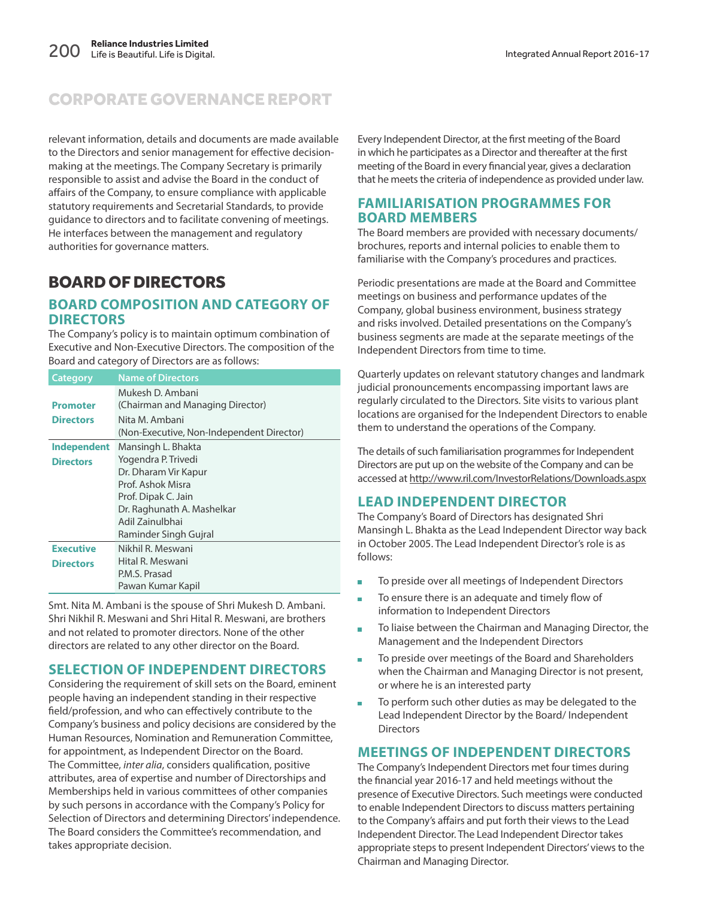relevant information, details and documents are made available to the Directors and senior management for effective decisionmaking at the meetings. The Company Secretary is primarily responsible to assist and advise the Board in the conduct of affairs of the Company, to ensure compliance with applicable statutory requirements and Secretarial Standards, to provide guidance to directors and to facilitate convening of meetings. He interfaces between the management and regulatory authorities for governance matters.

### BOARD OF DIRECTORS

### **BOARD COMPOSITION AND CATEGORY OF DIRECTORS**

The Company's policy is to maintain optimum combination of Executive and Non-Executive Directors. The composition of the Board and category of Directors are as follows:

| <b>Category</b>    | <b>Name of Directors</b>                  |
|--------------------|-------------------------------------------|
|                    | Mukesh D. Ambani                          |
| <b>Promoter</b>    | (Chairman and Managing Director)          |
| <b>Directors</b>   | Nita M. Ambani                            |
|                    | (Non-Executive, Non-Independent Director) |
| <b>Independent</b> | Mansingh L. Bhakta                        |
| <b>Directors</b>   | Yogendra P. Trivedi                       |
|                    | Dr. Dharam Vir Kapur                      |
|                    | Prof. Ashok Misra                         |
|                    | Prof. Dipak C. Jain                       |
|                    | Dr. Raghunath A. Mashelkar                |
|                    | Adil Zainulbhai                           |
|                    | Raminder Singh Gujral                     |
| <b>Executive</b>   | Nikhil R. Meswani                         |
| <b>Directors</b>   | Hital R. Meswani                          |
|                    | P.M.S. Prasad                             |
|                    | Pawan Kumar Kapil                         |

Smt. Nita M. Ambani is the spouse of Shri Mukesh D. Ambani. Shri Nikhil R. Meswani and Shri Hital R. Meswani, are brothers and not related to promoter directors. None of the other directors are related to any other director on the Board.

### **SELECTION OF INDEPENDENT DIRECTORS**

Considering the requirement of skill sets on the Board, eminent people having an independent standing in their respective field/profession, and who can effectively contribute to the Company's business and policy decisions are considered by the Human Resources, Nomination and Remuneration Committee, for appointment, as Independent Director on the Board. The Committee, inter alia, considers qualification, positive attributes, area of expertise and number of Directorships and Memberships held in various committees of other companies by such persons in accordance with the Company's Policy for Selection of Directors and determining Directors' independence. The Board considers the Committee's recommendation, and takes appropriate decision.

Every Independent Director, at the first meeting of the Board in which he participates as a Director and thereafter at the first meeting of the Board in every financial year, gives a declaration that he meets the criteria of independence as provided under law.

### **FAMILIARISATION PROGRAMMES FOR BOARD MEMBERS**

The Board members are provided with necessary documents/ brochures, reports and internal policies to enable them to familiarise with the Company's procedures and practices.

Periodic presentations are made at the Board and Committee meetings on business and performance updates of the Company, global business environment, business strategy and risks involved. Detailed presentations on the Company's business segments are made at the separate meetings of the Independent Directors from time to time.

Quarterly updates on relevant statutory changes and landmark judicial pronouncements encompassing important laws are regularly circulated to the Directors. Site visits to various plant locations are organised for the Independent Directors to enable them to understand the operations of the Company.

The details of such familiarisation programmes for Independent Directors are put up on the website of the Company and can be accessed at http://www.ril.com/InvestorRelations/Downloads.aspx

### **LEAD INDEPENDENT DIRECTOR**

The Company's Board of Directors has designated Shri Mansingh L. Bhakta as the Lead Independent Director way back in October 2005. The Lead Independent Director's role is as follows:

- To preside over all meetings of Independent Directors
- To ensure there is an adequate and timely flow of information to Independent Directors
- To liaise between the Chairman and Managing Director, the Management and the Independent Directors
- To preside over meetings of the Board and Shareholders when the Chairman and Managing Director is not present, or where he is an interested party
- To perform such other duties as may be delegated to the Lead Independent Director by the Board/ Independent **Directors**

### **MEETINGS OF INDEPENDENT DIRECTORS**

The Company's Independent Directors met four times during the financial year 2016-17 and held meetings without the presence of Executive Directors. Such meetings were conducted to enable Independent Directors to discuss matters pertaining to the Company's affairs and put forth their views to the Lead Independent Director. The Lead Independent Director takes appropriate steps to present Independent Directors' views to the Chairman and Managing Director.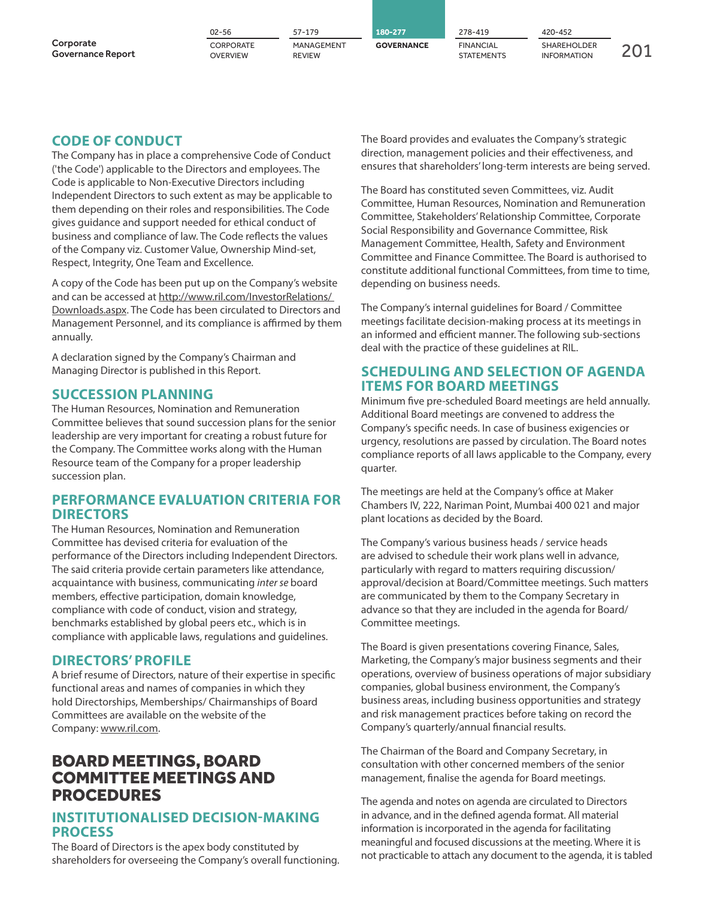|                                       | 02-56                        | 57-179                      | 180-277           | 278-419                        | 420-452                                  |  |
|---------------------------------------|------------------------------|-----------------------------|-------------------|--------------------------------|------------------------------------------|--|
| Corporate<br><b>Governance Report</b> | CORPORATE<br><b>OVERVIEW</b> | MANAGEMENT<br><b>REVIEW</b> | <b>GOVERNANCE</b> | <b>FINANCIAL</b><br>STATEMENTS | <b>SHAREHOLDER</b><br><b>INFORMATION</b> |  |

### **CODE OF CONDUCT**

The Company has in place a comprehensive Code of Conduct ('the Code') applicable to the Directors and employees. The Code is applicable to Non-Executive Directors including Independent Directors to such extent as may be applicable to them depending on their roles and responsibilities. The Code gives guidance and support needed for ethical conduct of business and compliance of law. The Code reflects the values of the Company viz. Customer Value, Ownership Mind-set, Respect, Integrity, One Team and Excellence.

A copy of the Code has been put up on the Company's website and can be accessed at http://www.ril.com/InvestorRelations/ Downloads.aspx. The Code has been circulated to Directors and Management Personnel, and its compliance is affirmed by them annually.

A declaration signed by the Company's Chairman and Managing Director is published in this Report.

### **SUCCESSION PLANNING**

The Human Resources, Nomination and Remuneration Committee believes that sound succession plans for the senior leadership are very important for creating a robust future for the Company. The Committee works along with the Human Resource team of the Company for a proper leadership succession plan.

### **PERFORMANCE EVALUATION CRITERIA FOR DIRECTORS**

The Human Resources, Nomination and Remuneration Committee has devised criteria for evaluation of the performance of the Directors including Independent Directors. The said criteria provide certain parameters like attendance, acquaintance with business, communicating inter se board members, effective participation, domain knowledge, compliance with code of conduct, vision and strategy, benchmarks established by global peers etc., which is in compliance with applicable laws, regulations and guidelines.

### **DIRECTORS' PROFILE**

A brief resume of Directors, nature of their expertise in specific functional areas and names of companies in which they hold Directorships, Memberships/ Chairmanships of Board Committees are available on the website of the Company: www.ril.com.

### BOARD MEETINGS, BOARD COMMITTEE MEETINGS AND PROCEDURES

### **INSTITUTIONALISED DECISION-MAKING PROCESS**

The Board of Directors is the apex body constituted by shareholders for overseeing the Company's overall functioning. The Board provides and evaluates the Company's strategic direction, management policies and their effectiveness, and ensures that shareholders' long-term interests are being served.

The Board has constituted seven Committees, viz. Audit Committee, Human Resources, Nomination and Remuneration Committee, Stakeholders' Relationship Committee, Corporate Social Responsibility and Governance Committee, Risk Management Committee, Health, Safety and Environment Committee and Finance Committee. The Board is authorised to constitute additional functional Committees, from time to time, depending on business needs.

The Company's internal guidelines for Board / Committee meetings facilitate decision-making process at its meetings in an informed and efficient manner. The following sub-sections deal with the practice of these guidelines at RIL.

### **SCHEDULING AND SELECTION OF AGENDA ITEMS FOR BOARD MEETINGS**

Minimum five pre-scheduled Board meetings are held annually. Additional Board meetings are convened to address the Company's specific needs. In case of business exigencies or urgency, resolutions are passed by circulation. The Board notes compliance reports of all laws applicable to the Company, every quarter.

The meetings are held at the Company's office at Maker Chambers IV, 222, Nariman Point, Mumbai 400 021 and major plant locations as decided by the Board.

The Company's various business heads / service heads are advised to schedule their work plans well in advance, particularly with regard to matters requiring discussion/ approval/decision at Board/Committee meetings. Such matters are communicated by them to the Company Secretary in advance so that they are included in the agenda for Board/ Committee meetings.

The Board is given presentations covering Finance, Sales, Marketing, the Company's major business segments and their operations, overview of business operations of major subsidiary companies, global business environment, the Company's business areas, including business opportunities and strategy and risk management practices before taking on record the Company's quarterly/annual financial results.

The Chairman of the Board and Company Secretary, in consultation with other concerned members of the senior management, finalise the agenda for Board meetings.

The agenda and notes on agenda are circulated to Directors in advance, and in the defined agenda format. All material information is incorporated in the agenda for facilitating meaningful and focused discussions at the meeting. Where it is not practicable to attach any document to the agenda, it is tabled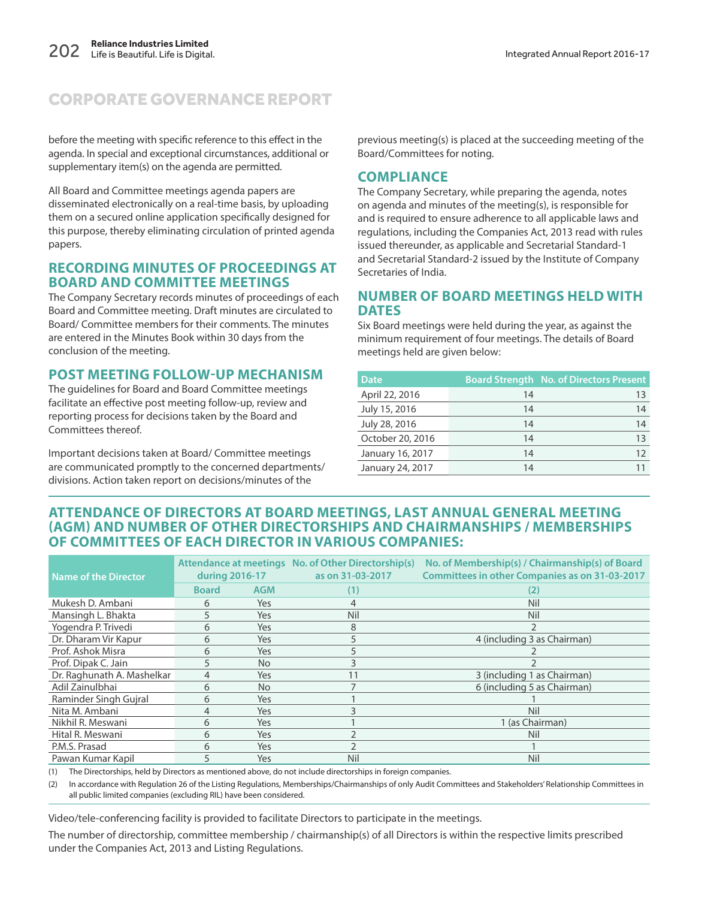before the meeting with specific reference to this effect in the agenda. In special and exceptional circumstances, additional or supplementary item(s) on the agenda are permitted.

All Board and Committee meetings agenda papers are disseminated electronically on a real-time basis, by uploading them on a secured online application specifically designed for this purpose, thereby eliminating circulation of printed agenda papers.

### **RECORDING MINUTES OF PROCEEDINGS AT BOARD AND COMMITTEE MEETINGS**

The Company Secretary records minutes of proceedings of each Board and Committee meeting. Draft minutes are circulated to Board/ Committee members for their comments. The minutes are entered in the Minutes Book within 30 days from the conclusion of the meeting.

### **POST MEETING FOLLOW-UP MECHANISM**

The guidelines for Board and Board Committee meetings facilitate an effective post meeting follow-up, review and reporting process for decisions taken by the Board and Committees thereof.

Important decisions taken at Board/ Committee meetings are communicated promptly to the concerned departments/ divisions. Action taken report on decisions/minutes of the

previous meeting(s) is placed at the succeeding meeting of the Board/Committees for noting.

### **COMPLIANCE**

The Company Secretary, while preparing the agenda, notes on agenda and minutes of the meeting(s), is responsible for and is required to ensure adherence to all applicable laws and regulations, including the Companies Act, 2013 read with rules issued thereunder, as applicable and Secretarial Standard-1 and Secretarial Standard-2 issued by the Institute of Company Secretaries of India.

#### **NUMBER OF BOARD MEETINGS HELD WITH DATES**

Six Board meetings were held during the year, as against the minimum requirement of four meetings. The details of Board meetings held are given below:

| <b>Date</b>      |    | <b>Board Strength No. of Directors Present</b> |
|------------------|----|------------------------------------------------|
| April 22, 2016   | 14 | 13                                             |
| July 15, 2016    | 14 | 14                                             |
| July 28, 2016    | 14 | 14                                             |
| October 20, 2016 | 14 | 13                                             |
| January 16, 2017 | 14 | 12                                             |
| January 24, 2017 | 14 |                                                |

### **ATTENDANCE OF DIRECTORS AT BOARD MEETINGS, LAST ANNUAL GENERAL MEETING (AGM) AND NUMBER OF OTHER DIRECTORSHIPS AND CHAIRMANSHIPS / MEMBERSHIPS OF COMMITTEES OF EACH DIRECTOR IN VARIOUS COMPANIES:**

| <b>Name of the Director</b> |              | Attendance at meetings No. of Other Directorship(s)<br>during 2016-17<br>as on 31-03-2017 |     | No. of Membership(s) / Chairmanship(s) of Board<br><b>Committees in other Companies as on 31-03-2017</b> |
|-----------------------------|--------------|-------------------------------------------------------------------------------------------|-----|----------------------------------------------------------------------------------------------------------|
|                             | <b>Board</b> | <b>AGM</b>                                                                                | (1) | (2)                                                                                                      |
| Mukesh D. Ambani            | 6            | Yes                                                                                       | 4   | Nil                                                                                                      |
| Mansingh L. Bhakta          | 5            | Yes                                                                                       | Nil | Nil                                                                                                      |
| Yogendra P. Trivedi         | 6            | Yes                                                                                       | 8   |                                                                                                          |
| Dr. Dharam Vir Kapur        | 6            | Yes                                                                                       | 5   | 4 (including 3 as Chairman)                                                                              |
| Prof. Ashok Misra           | 6            | Yes                                                                                       | 5   |                                                                                                          |
| Prof. Dipak C. Jain         | 5            | <b>No</b>                                                                                 | 3   |                                                                                                          |
| Dr. Raghunath A. Mashelkar  | 4            | Yes                                                                                       | 11  | 3 (including 1 as Chairman)                                                                              |
| Adil Zainulbhai             | 6            | <b>No</b>                                                                                 |     | 6 (including 5 as Chairman)                                                                              |
| Raminder Singh Gujral       | 6            | Yes                                                                                       |     |                                                                                                          |
| Nita M. Ambani              | 4            | Yes                                                                                       |     | Nil                                                                                                      |
| Nikhil R. Meswani           | 6            | Yes                                                                                       |     | 1 (as Chairman)                                                                                          |
| Hital R. Meswani            | 6            | Yes                                                                                       |     | Nil                                                                                                      |
| P.M.S. Prasad               | 6            | Yes                                                                                       |     |                                                                                                          |
| Pawan Kumar Kapil           | 5            | Yes                                                                                       | Nil | Nil                                                                                                      |

(1) The Directorships, held by Directors as mentioned above, do not include directorships in foreign companies.

(2) In accordance with Regulation 26 of the Listing Regulations, Memberships/Chairmanships of only Audit Committees and Stakeholders' Relationship Committees in all public limited companies (excluding RIL) have been considered.

Video/tele-conferencing facility is provided to facilitate Directors to participate in the meetings.

The number of directorship, committee membership / chairmanship(s) of all Directors is within the respective limits prescribed under the Companies Act, 2013 and Listing Regulations.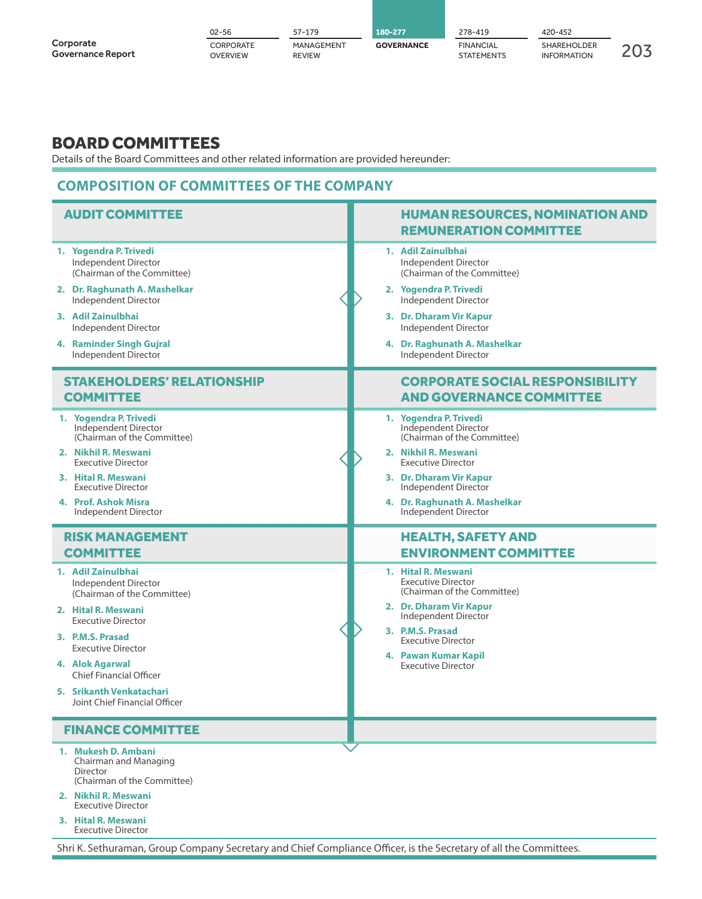|                                       | 02-56                 | 57-179                      | 180-277           | 278-419                               | 420-452                                  |  |
|---------------------------------------|-----------------------|-----------------------------|-------------------|---------------------------------------|------------------------------------------|--|
| Corporate<br><b>Governance Report</b> | CORPORATE<br>OVERVIEW | MANAGEMENT<br><b>REVIEW</b> | <b>GOVERNANCE</b> | <b>FINANCIAL</b><br><b>STATEMENTS</b> | <b>SHAREHOLDER</b><br><b>INFORMATION</b> |  |

### BOARD COMMITTEES

Details of the Board Committees and other related information are provided hereunder:

### **COMPOSITION OF COMMITTEES OF THE COMPANY**

| <b>AUDIT COMMITTEE</b>                                                                                                                                                                                                                                                                           | <b>HUMAN RESOURCES, NOMINATION AND</b><br><b>REMUNERATION COMMITTEE</b>                                                                                                                                                                  |
|--------------------------------------------------------------------------------------------------------------------------------------------------------------------------------------------------------------------------------------------------------------------------------------------------|------------------------------------------------------------------------------------------------------------------------------------------------------------------------------------------------------------------------------------------|
| 1. Yogendra P. Trivedi                                                                                                                                                                                                                                                                           | 1. Adil Zainulbhai                                                                                                                                                                                                                       |
| Independent Director                                                                                                                                                                                                                                                                             | Independent Director                                                                                                                                                                                                                     |
| (Chairman of the Committee)                                                                                                                                                                                                                                                                      | (Chairman of the Committee)                                                                                                                                                                                                              |
| 2. Dr. Raghunath A. Mashelkar                                                                                                                                                                                                                                                                    | 2. Yogendra P. Trivedi                                                                                                                                                                                                                   |
| Independent Director                                                                                                                                                                                                                                                                             | Independent Director                                                                                                                                                                                                                     |
| 3. Adil Zainulbhai                                                                                                                                                                                                                                                                               | 3. Dr. Dharam Vir Kapur                                                                                                                                                                                                                  |
| Independent Director                                                                                                                                                                                                                                                                             | Independent Director                                                                                                                                                                                                                     |
| 4. Raminder Singh Gujral                                                                                                                                                                                                                                                                         | 4. Dr. Raghunath A. Mashelkar                                                                                                                                                                                                            |
| Independent Director                                                                                                                                                                                                                                                                             | Independent Director                                                                                                                                                                                                                     |
| <b>STAKEHOLDERS' RELATIONSHIP</b>                                                                                                                                                                                                                                                                | <b>CORPORATE SOCIAL RESPONSIBILITY</b>                                                                                                                                                                                                   |
| <b>COMMITTEE</b>                                                                                                                                                                                                                                                                                 | <b>AND GOVERNANCE COMMITTEE</b>                                                                                                                                                                                                          |
| 1. Yogendra P. Trivedi                                                                                                                                                                                                                                                                           | 1. Yogendra P. Trivedi                                                                                                                                                                                                                   |
| Independent Director                                                                                                                                                                                                                                                                             | Independent Director                                                                                                                                                                                                                     |
| (Chairman of the Committee)                                                                                                                                                                                                                                                                      | (Chairman of the Committee)                                                                                                                                                                                                              |
| 2. Nikhil R. Meswani                                                                                                                                                                                                                                                                             | 2. Nikhil R. Meswani                                                                                                                                                                                                                     |
| <b>Executive Director</b>                                                                                                                                                                                                                                                                        | <b>Executive Director</b>                                                                                                                                                                                                                |
| 3. Hital R. Meswani                                                                                                                                                                                                                                                                              | 3. Dr. Dharam Vir Kapur                                                                                                                                                                                                                  |
| <b>Executive Director</b>                                                                                                                                                                                                                                                                        | Independent Director                                                                                                                                                                                                                     |
| 4. Prof. Ashok Misra                                                                                                                                                                                                                                                                             | 4. Dr. Raghunath A. Mashelkar                                                                                                                                                                                                            |
| Independent Director                                                                                                                                                                                                                                                                             | Independent Director                                                                                                                                                                                                                     |
|                                                                                                                                                                                                                                                                                                  |                                                                                                                                                                                                                                          |
| <b>RISK MANAGEMENT</b>                                                                                                                                                                                                                                                                           | <b>HEALTH, SAFETY AND</b>                                                                                                                                                                                                                |
| <b>COMMITTEE</b>                                                                                                                                                                                                                                                                                 | <b>ENVIRONMENT COMMITTEE</b>                                                                                                                                                                                                             |
| 1. Adil Zainulbhai<br>Independent Director<br>(Chairman of the Committee)<br>2. Hital R. Meswani<br><b>Executive Director</b><br>3. P.M.S. Prasad<br><b>Executive Director</b><br>4. Alok Agarwal<br><b>Chief Financial Officer</b><br>5. Srikanth Venkatachari<br>Joint Chief Financial Officer | 1. Hital R. Meswani<br><b>Executive Director</b><br>(Chairman of the Committee)<br>2. Dr. Dharam Vir Kapur<br>Independent Director<br>3. P.M.S. Prasad<br><b>Executive Director</b><br>4. Pawan Kumar Kapil<br><b>Executive Director</b> |
| <b>FINANCE COMMITTEE</b>                                                                                                                                                                                                                                                                         |                                                                                                                                                                                                                                          |

Shri K. Sethuraman, Group Company Secretary and Chief Compliance Officer, is the Secretary of all the Committees.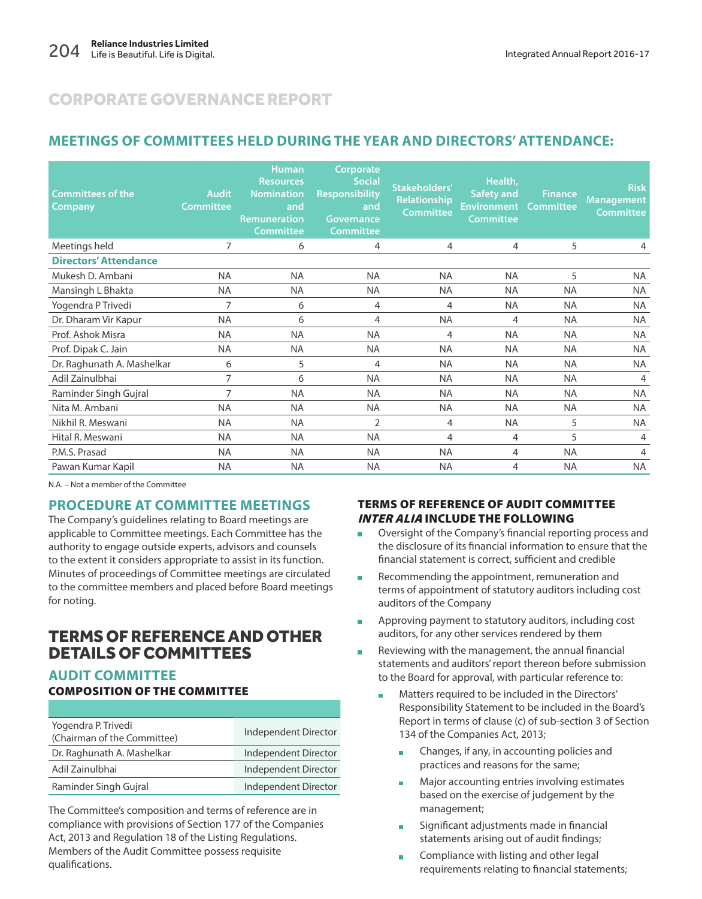### **MEETINGS OF COMMITTEES HELD DURING THE YEAR AND DIRECTORS' ATTENDANCE:**

| <b>Committees of the</b><br>Company | <b>Audit</b><br><b>Committee</b> | <b>Human</b><br><b>Resources</b><br><b>Nomination</b><br>and<br>Remuneration<br><b>Committee</b> | Corporate<br><b>Social</b><br><b>Responsibility</b><br>and<br><b>Governance</b><br><b>Committee</b> | Stakeholders'<br>Relationship<br><b>Committee</b> | Health,<br><b>Safety and</b><br><b>Environment</b><br><b>Committee</b> | <b>Finance</b><br><b>Committee</b> | <b>Risk</b><br><b>Management</b><br><b>Committee</b> |
|-------------------------------------|----------------------------------|--------------------------------------------------------------------------------------------------|-----------------------------------------------------------------------------------------------------|---------------------------------------------------|------------------------------------------------------------------------|------------------------------------|------------------------------------------------------|
| Meetings held                       | 7                                | 6                                                                                                | 4                                                                                                   | 4                                                 | 4                                                                      | 5                                  | 4                                                    |
| <b>Directors' Attendance</b>        |                                  |                                                                                                  |                                                                                                     |                                                   |                                                                        |                                    |                                                      |
| Mukesh D. Ambani                    | <b>NA</b>                        | <b>NA</b>                                                                                        | <b>NA</b>                                                                                           | <b>NA</b>                                         | <b>NA</b>                                                              | 5                                  | <b>NA</b>                                            |
| Mansingh L Bhakta                   | <b>NA</b>                        | <b>NA</b>                                                                                        | <b>NA</b>                                                                                           | <b>NA</b>                                         | <b>NA</b>                                                              | <b>NA</b>                          | <b>NA</b>                                            |
| Yogendra P Trivedi                  | $\overline{7}$                   | 6                                                                                                | 4                                                                                                   | 4                                                 | <b>NA</b>                                                              | <b>NA</b>                          | <b>NA</b>                                            |
| Dr. Dharam Vir Kapur                | <b>NA</b>                        | 6                                                                                                | 4                                                                                                   | <b>NA</b>                                         | 4                                                                      | <b>NA</b>                          | <b>NA</b>                                            |
| Prof. Ashok Misra                   | <b>NA</b>                        | <b>NA</b>                                                                                        | <b>NA</b>                                                                                           | 4                                                 | <b>NA</b>                                                              | <b>NA</b>                          | <b>NA</b>                                            |
| Prof. Dipak C. Jain                 | <b>NA</b>                        | <b>NA</b>                                                                                        | <b>NA</b>                                                                                           | <b>NA</b>                                         | <b>NA</b>                                                              | <b>NA</b>                          | <b>NA</b>                                            |
| Dr. Raghunath A. Mashelkar          | 6                                | 5                                                                                                | 4                                                                                                   | <b>NA</b>                                         | <b>NA</b>                                                              | <b>NA</b>                          | <b>NA</b>                                            |
| Adil Zainulbhai                     | 7                                | 6                                                                                                | <b>NA</b>                                                                                           | <b>NA</b>                                         | <b>NA</b>                                                              | <b>NA</b>                          | $\overline{4}$                                       |
| Raminder Singh Gujral               | $\overline{7}$                   | <b>NA</b>                                                                                        | <b>NA</b>                                                                                           | <b>NA</b>                                         | <b>NA</b>                                                              | <b>NA</b>                          | <b>NA</b>                                            |
| Nita M. Ambani                      | <b>NA</b>                        | <b>NA</b>                                                                                        | <b>NA</b>                                                                                           | <b>NA</b>                                         | <b>NA</b>                                                              | <b>NA</b>                          | <b>NA</b>                                            |
| Nikhil R. Meswani                   | <b>NA</b>                        | <b>NA</b>                                                                                        | $\overline{2}$                                                                                      | 4                                                 | <b>NA</b>                                                              | 5                                  | <b>NA</b>                                            |
| Hital R. Meswani                    | <b>NA</b>                        | <b>NA</b>                                                                                        | <b>NA</b>                                                                                           | 4                                                 | 4                                                                      | 5                                  | 4                                                    |
| P.M.S. Prasad                       | <b>NA</b>                        | <b>NA</b>                                                                                        | <b>NA</b>                                                                                           | <b>NA</b>                                         | 4                                                                      | <b>NA</b>                          | $\overline{4}$                                       |
| Pawan Kumar Kapil                   | NA                               | <b>NA</b>                                                                                        | ΝA                                                                                                  | <b>NA</b>                                         | 4                                                                      | <b>NA</b>                          | <b>NA</b>                                            |

N.A. – Not a member of the Committee

### **PROCEDURE AT COMMITTEE MEETINGS**

The Company's guidelines relating to Board meetings are applicable to Committee meetings. Each Committee has the authority to engage outside experts, advisors and counsels to the extent it considers appropriate to assist in its function. Minutes of proceedings of Committee meetings are circulated to the committee members and placed before Board meetings for noting.

### TERMS OF REFERENCE AND OTHER DETAILS OF COMMITTEES

### **AUDIT COMMITTEE COMPOSITION OF THE COMMITTEE**

| Yogendra P. Trivedi<br>(Chairman of the Committee) | Independent Director |
|----------------------------------------------------|----------------------|
| Dr. Raghunath A. Mashelkar                         | Independent Director |
| Adil Zainulbhai                                    | Independent Director |
| Raminder Singh Gujral                              | Independent Director |

The Committee's composition and terms of reference are in compliance with provisions of Section 177 of the Companies Act, 2013 and Regulation 18 of the Listing Regulations. Members of the Audit Committee possess requisite qualifications.

### **TERMS OF REFERENCE OF AUDIT COMMITTEE INTER ALIA INCLUDE THE FOLLOWING**

- **Development Oversight of the Company's financial reporting process and** the disclosure of its financial information to ensure that the financial statement is correct, sufficient and credible
- Recommending the appointment, remuneration and terms of appointment of statutory auditors including cost auditors of the Company
- **Approving payment to statutory auditors, including cost** auditors, for any other services rendered by them
- $\blacksquare$  Reviewing with the management, the annual financial statements and auditors' report thereon before submission to the Board for approval, with particular reference to:
	- Matters required to be included in the Directors' Responsibility Statement to be included in the Board's Report in terms of clause (c) of sub-section 3 of Section 134 of the Companies Act, 2013;
		- Changes, if any, in accounting policies and practices and reasons for the same;
		- Major accounting entries involving estimates based on the exercise of judgement by the management;
		- Significant adjustments made in financial statements arising out of audit findings;
		- **EXECOMPLIANCE With listing and other legal** requirements relating to financial statements;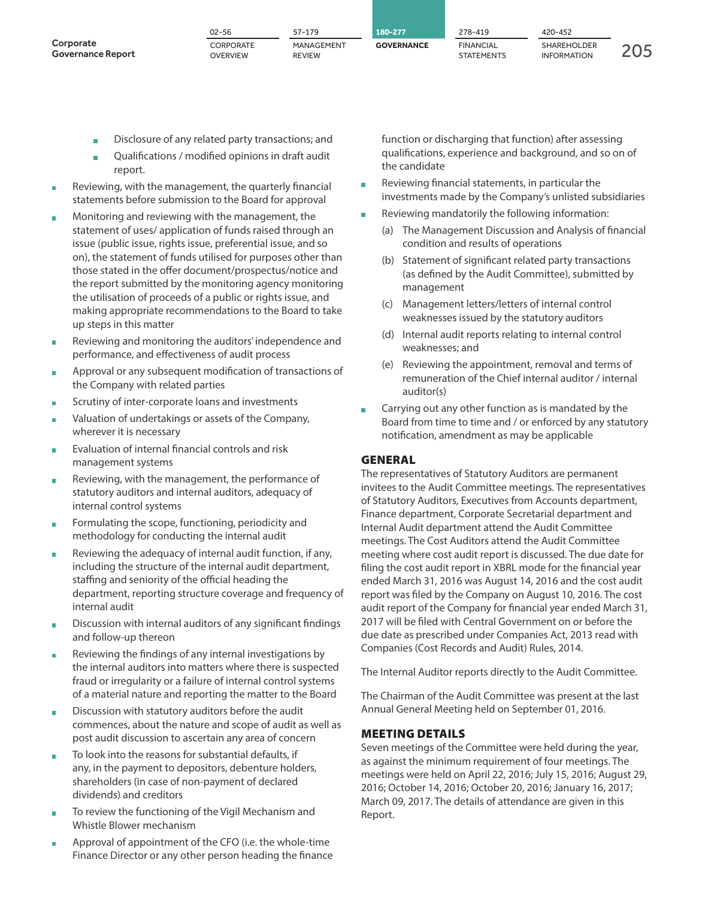|                                       | $02 - 56$                    | 57-179                      | 180-277           | 278-419                        | 420-452                           |  |
|---------------------------------------|------------------------------|-----------------------------|-------------------|--------------------------------|-----------------------------------|--|
| Corporate<br><b>Governance Report</b> | CORPORATE<br><b>OVERVIEW</b> | MANAGEMENT<br><b>REVIEW</b> | <b>GOVERNANCE</b> | <b>FINANCIAL</b><br>STATEMENTS | SHAREHOLDER<br><b>INFORMATION</b> |  |

- Disclosure of any related party transactions; and
- **Qualifications / modified opinions in draft audit** report.
- Reviewing, with the management, the quarterly financial statements before submission to the Board for approval
- **Monitoring and reviewing with the management, the** statement of uses/ application of funds raised through an issue (public issue, rights issue, preferential issue, and so on), the statement of funds utilised for purposes other than those stated in the offer document/prospectus/notice and the report submitted by the monitoring agency monitoring the utilisation of proceeds of a public or rights issue, and making appropriate recommendations to the Board to take up steps in this matter
- **Reviewing and monitoring the auditors' independence and** performance, and effectiveness of audit process
- **Approval or any subsequent modification of transactions of** the Company with related parties
- **Scrutiny of inter-corporate loans and investments**
- Valuation of undertakings or assets of the Company, wherever it is necessary
- **Evaluation of internal financial controls and risk** management systems
- Reviewing, with the management, the performance of statutory auditors and internal auditors, adequacy of internal control systems
- Formulating the scope, functioning, periodicity and methodology for conducting the internal audit
- **Reviewing the adequacy of internal audit function, if any,** including the structure of the internal audit department, staffing and seniority of the official heading the department, reporting structure coverage and frequency of internal audit
- **Discussion with internal auditors of any significant findings** and follow-up thereon
- Reviewing the findings of any internal investigations by the internal auditors into matters where there is suspected fraud or irregularity or a failure of internal control systems of a material nature and reporting the matter to the Board
- Discussion with statutory auditors before the audit commences, about the nature and scope of audit as well as post audit discussion to ascertain any area of concern
- To look into the reasons for substantial defaults, if any, in the payment to depositors, debenture holders, shareholders (in case of non-payment of declared dividends) and creditors
- To review the functioning of the Vigil Mechanism and Whistle Blower mechanism
- **Approval of appointment of the CFO (i.e. the whole-time** Finance Director or any other person heading the finance

function or discharging that function) after assessing qualifications, experience and background, and so on of the candidate

- Reviewing financial statements, in particular the investments made by the Company's unlisted subsidiaries
- **Reviewing mandatorily the following information:** 
	- (a) The Management Discussion and Analysis of financial condition and results of operations
	- (b) Statement of significant related party transactions (as defined by the Audit Committee), submitted by management
	- (c) Management letters/letters of internal control weaknesses issued by the statutory auditors
	- (d) Internal audit reports relating to internal control weaknesses; and
	- (e) Reviewing the appointment, removal and terms of remuneration of the Chief internal auditor / internal auditor(s)
- **Carrying out any other function as is mandated by the** Board from time to time and / or enforced by any statutory notification, amendment as may be applicable

#### **GENERAL**

The representatives of Statutory Auditors are permanent invitees to the Audit Committee meetings. The representatives of Statutory Auditors, Executives from Accounts department, Finance department, Corporate Secretarial department and Internal Audit department attend the Audit Committee meetings. The Cost Auditors attend the Audit Committee meeting where cost audit report is discussed. The due date for filing the cost audit report in XBRL mode for the financial year ended March 31, 2016 was August 14, 2016 and the cost audit report was filed by the Company on August 10, 2016. The cost audit report of the Company for financial year ended March 31, 2017 will be filed with Central Government on or before the due date as prescribed under Companies Act, 2013 read with Companies (Cost Records and Audit) Rules, 2014.

The Internal Auditor reports directly to the Audit Committee.

The Chairman of the Audit Committee was present at the last Annual General Meeting held on September 01, 2016.

#### **MEETING DETAILS**

Seven meetings of the Committee were held during the year, as against the minimum requirement of four meetings. The meetings were held on April 22, 2016; July 15, 2016; August 29, 2016; October 14, 2016; October 20, 2016; January 16, 2017; March 09, 2017. The details of attendance are given in this Report.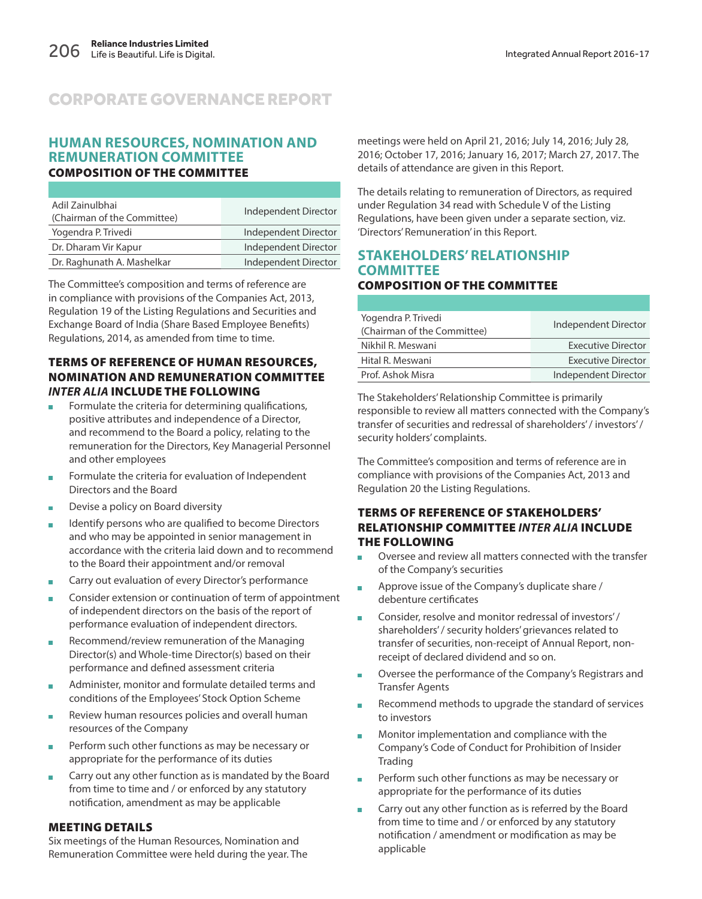### **HUMAN RESOURCES, NOMINATION AND REMUNERATION COMMITTEE COMPOSITION OF THE COMMITTEE**

| Adil Zainulbhai<br>(Chairman of the Committee) | Independent Director |
|------------------------------------------------|----------------------|
| Yogendra P. Trivedi                            | Independent Director |
| Dr. Dharam Vir Kapur                           | Independent Director |
| Dr. Raghunath A. Mashelkar                     | Independent Director |

The Committee's composition and terms of reference are in compliance with provisions of the Companies Act, 2013, Regulation 19 of the Listing Regulations and Securities and Exchange Board of India (Share Based Employee Benefits) Regulations, 2014, as amended from time to time.

#### **TERMS OF REFERENCE OF HUMAN RESOURCES, NOMINATION AND REMUNERATION COMMITTEE INTER ALIA INCLUDE THE FOLLOWING**

- Formulate the criteria for determining qualifications, positive attributes and independence of a Director, and recommend to the Board a policy, relating to the remuneration for the Directors, Key Managerial Personnel and other employees
- **Formulate the criteria for evaluation of Independent** Directors and the Board
- **Devise a policy on Board diversity**
- Identify persons who are qualified to become Directors and who may be appointed in senior management in accordance with the criteria laid down and to recommend to the Board their appointment and/or removal
- Carry out evaluation of every Director's performance
- Consider extension or continuation of term of appointment of independent directors on the basis of the report of performance evaluation of independent directors.
- Recommend/review remuneration of the Managing Director(s) and Whole-time Director(s) based on their performance and defined assessment criteria
- **Administer, monitor and formulate detailed terms and** conditions of the Employees' Stock Option Scheme
- Review human resources policies and overall human resources of the Company
- **Perform such other functions as may be necessary or** appropriate for the performance of its duties
- **EXEC** Carry out any other function as is mandated by the Board from time to time and / or enforced by any statutory notification, amendment as may be applicable

### **MEETING DETAILS**

Six meetings of the Human Resources, Nomination and Remuneration Committee were held during the year. The meetings were held on April 21, 2016; July 14, 2016; July 28, 2016; October 17, 2016; January 16, 2017; March 27, 2017. The details of attendance are given in this Report.

The details relating to remuneration of Directors, as required under Regulation 34 read with Schedule V of the Listing Regulations, have been given under a separate section, viz. 'Directors' Remuneration' in this Report.

#### **STAKEHOLDERS' RELATIONSHIP COMMITTEE COMPOSITION OF THE COMMITTEE**

| Yogendra P. Trivedi<br>(Chairman of the Committee) | Independent Director      |
|----------------------------------------------------|---------------------------|
| Nikhil R. Meswani                                  | <b>Executive Director</b> |
| Hital R. Meswani                                   | Executive Director        |
| Prof. Ashok Misra                                  | Independent Director      |
|                                                    |                           |

The Stakeholders' Relationship Committee is primarily responsible to review all matters connected with the Company's transfer of securities and redressal of shareholders' / investors' / security holders' complaints.

The Committee's composition and terms of reference are in compliance with provisions of the Companies Act, 2013 and Regulation 20 the Listing Regulations.

#### **TERMS OF REFERENCE OF STAKEHOLDERS' RELATIONSHIP COMMITTEE INTER ALIA INCLUDE THE FOLLOWING**

- Oversee and review all matters connected with the transfer of the Company's securities
- **Approve issue of the Company's duplicate share /** debenture certificates
- Consider, resolve and monitor redressal of investors' / shareholders' / security holders' grievances related to transfer of securities, non-receipt of Annual Report, nonreceipt of declared dividend and so on.
- Oversee the performance of the Company's Registrars and Transfer Agents
- Recommend methods to upgrade the standard of services to investors
- Monitor implementation and compliance with the Company's Code of Conduct for Prohibition of Insider **Trading**
- **Perform such other functions as may be necessary or** appropriate for the performance of its duties
- **EXTERN** Carry out any other function as is referred by the Board from time to time and / or enforced by any statutory notification / amendment or modification as may be applicable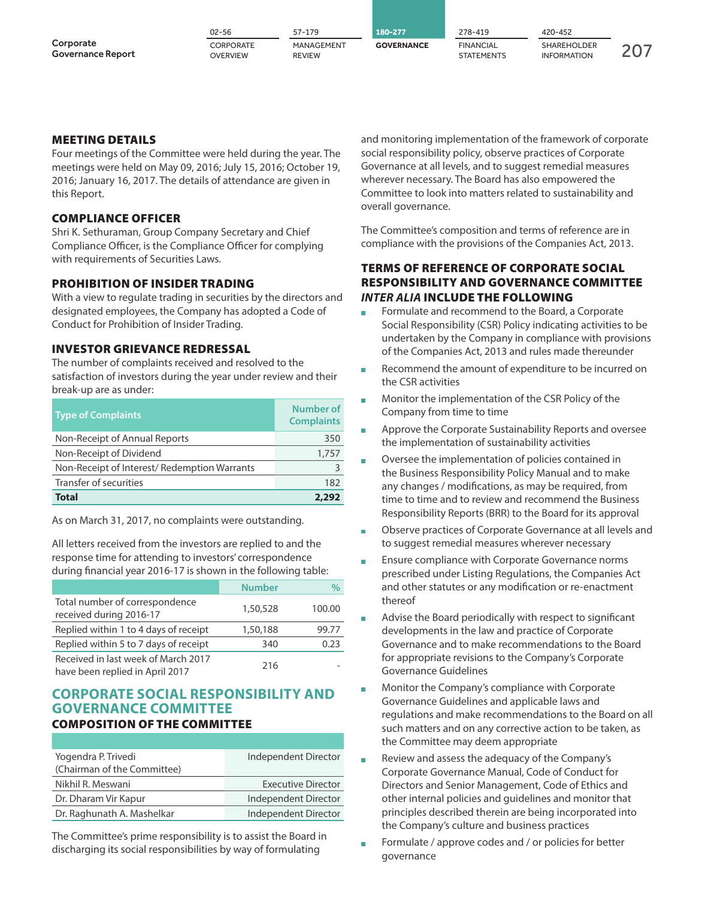|                                       | $02 - 56$                    | 57-179                      | 180-277           | 278-419                        | 420-452                                  |  |
|---------------------------------------|------------------------------|-----------------------------|-------------------|--------------------------------|------------------------------------------|--|
| Corporate<br><b>Governance Report</b> | CORPORATE<br><b>OVERVIEW</b> | MANAGEMENT<br><b>REVIEW</b> | <b>GOVERNANCE</b> | <b>FINANCIAL</b><br>STATEMENTS | <b>SHAREHOLDER</b><br><b>INFORMATION</b> |  |

### **MEETING DETAILS**

Four meetings of the Committee were held during the year. The meetings were held on May 09, 2016; July 15, 2016; October 19, 2016; January 16, 2017. The details of attendance are given in this Report.

#### **COMPLIANCE OFFICER**

Shri K. Sethuraman, Group Company Secretary and Chief Compliance Officer, is the Compliance Officer for complying with requirements of Securities Laws.

#### **PROHIBITION OF INSIDER TRADING**

With a view to regulate trading in securities by the directors and designated employees, the Company has adopted a Code of Conduct for Prohibition of Insider Trading.

#### **INVESTOR GRIEVANCE REDRESSAL**

The number of complaints received and resolved to the satisfaction of investors during the year under review and their break-up are as under:

| <b>Type of Complaints</b>                   | Number of<br><b>Complaints</b> |
|---------------------------------------------|--------------------------------|
| Non-Receipt of Annual Reports               | 350                            |
| Non-Receipt of Dividend                     | 1,757                          |
| Non-Receipt of Interest/Redemption Warrants |                                |
| Transfer of securities                      | 182                            |
| <b>Total</b>                                | 2.292                          |

As on March 31, 2017, no complaints were outstanding.

All letters received from the investors are replied to and the response time for attending to investors' correspondence during financial year 2016-17 is shown in the following table:

|                                                                        | <b>Number</b> | $\%$   |
|------------------------------------------------------------------------|---------------|--------|
| Total number of correspondence<br>received during 2016-17              | 1,50,528      | 100.00 |
| Replied within 1 to 4 days of receipt                                  | 1,50,188      | 99.77  |
| Replied within 5 to 7 days of receipt                                  | 340           | 0.23   |
| Received in last week of March 2017<br>have been replied in April 2017 | 216           |        |

### **CORPORATE SOCIAL RESPONSIBILITY AND GOVERNANCE COMMITTEE COMPOSITION OF THE COMMITTEE**

| Yogendra P. Trivedi         | Independent Director      |
|-----------------------------|---------------------------|
| (Chairman of the Committee) |                           |
| Nikhil R. Meswani           | <b>Executive Director</b> |
| Dr. Dharam Vir Kapur        | Independent Director      |
| Dr. Raghunath A. Mashelkar  | Independent Director      |
|                             |                           |

The Committee's prime responsibility is to assist the Board in discharging its social responsibilities by way of formulating

and monitoring implementation of the framework of corporate social responsibility policy, observe practices of Corporate Governance at all levels, and to suggest remedial measures wherever necessary. The Board has also empowered the Committee to look into matters related to sustainability and overall governance.

The Committee's composition and terms of reference are in compliance with the provisions of the Companies Act, 2013.

#### **TERMS OF REFERENCE OF CORPORATE SOCIAL RESPONSIBILITY AND GOVERNANCE COMMITTEE INTER ALIA INCLUDE THE FOLLOWING**

- Formulate and recommend to the Board, a Corporate Social Responsibility (CSR) Policy indicating activities to be undertaken by the Company in compliance with provisions of the Companies Act, 2013 and rules made thereunder
- Recommend the amount of expenditure to be incurred on the CSR activities
- **Monitor the implementation of the CSR Policy of the** Company from time to time
- **Approve the Corporate Sustainability Reports and oversee** the implementation of sustainability activities
- Oversee the implementation of policies contained in the Business Responsibility Policy Manual and to make any changes / modifications, as may be required, from time to time and to review and recommend the Business Responsibility Reports (BRR) to the Board for its approval
- Observe practices of Corporate Governance at all levels and to suggest remedial measures wherever necessary
- Ensure compliance with Corporate Governance norms prescribed under Listing Regulations, the Companies Act and other statutes or any modification or re-enactment thereof
- **Advise the Board periodically with respect to significant** developments in the law and practice of Corporate Governance and to make recommendations to the Board for appropriate revisions to the Company's Corporate Governance Guidelines
- Monitor the Company's compliance with Corporate Governance Guidelines and applicable laws and regulations and make recommendations to the Board on all such matters and on any corrective action to be taken, as the Committee may deem appropriate
- Review and assess the adequacy of the Company's Corporate Governance Manual, Code of Conduct for Directors and Senior Management, Code of Ethics and other internal policies and guidelines and monitor that principles described therein are being incorporated into the Company's culture and business practices
- Formulate / approve codes and / or policies for better governance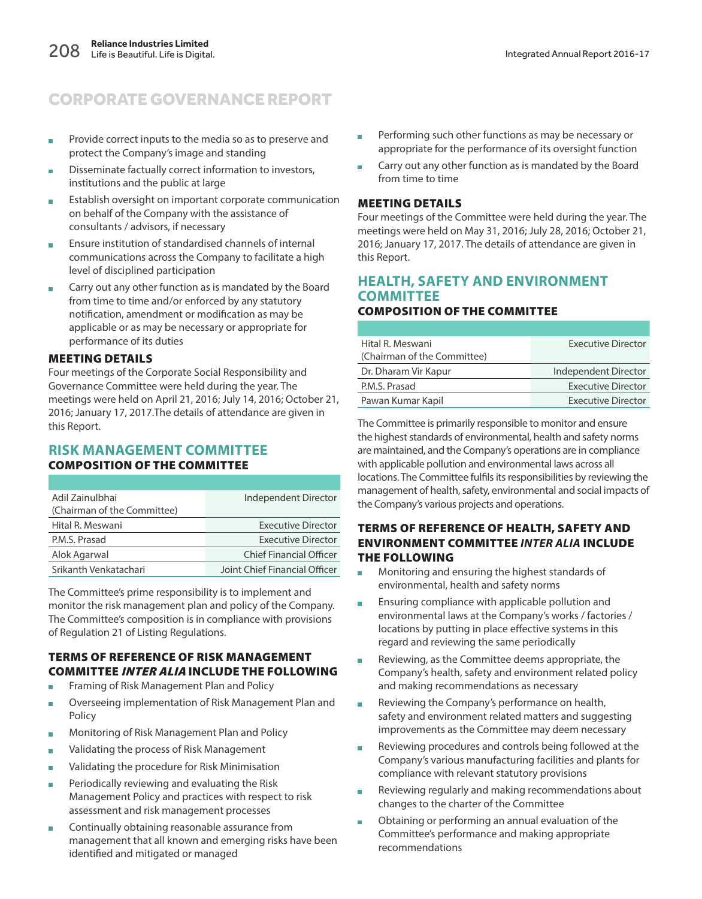- **Provide correct inputs to the media so as to preserve and** protect the Company's image and standing
- **Disseminate factually correct information to investors,** institutions and the public at large
- Establish oversight on important corporate communication on behalf of the Company with the assistance of consultants / advisors, if necessary
- **Ensure institution of standardised channels of internal** communications across the Company to facilitate a high level of disciplined participation
- **EXTERN** Carry out any other function as is mandated by the Board from time to time and/or enforced by any statutory notification, amendment or modification as may be applicable or as may be necessary or appropriate for performance of its duties

#### **MEETING DETAILS**

Four meetings of the Corporate Social Responsibility and Governance Committee were held during the year. The meetings were held on April 21, 2016; July 14, 2016; October 21, 2016; January 17, 2017.The details of attendance are given in this Report.

### **RISK MANAGEMENT COMMITTEE COMPOSITION OF THE COMMITTEE**

| Adil Zainulbhai             | Independent Director           |
|-----------------------------|--------------------------------|
| (Chairman of the Committee) |                                |
| Hital R. Meswani            | <b>Executive Director</b>      |
| P.M.S. Prasad               | <b>Executive Director</b>      |
| Alok Agarwal                | <b>Chief Financial Officer</b> |
| Srikanth Venkatachari       | Joint Chief Financial Officer  |

The Committee's prime responsibility is to implement and monitor the risk management plan and policy of the Company. The Committee's composition is in compliance with provisions of Regulation 21 of Listing Regulations.

#### **TERMS OF REFERENCE OF RISK MANAGEMENT COMMITTEE INTER ALIA INCLUDE THE FOLLOWING**

- **Framing of Risk Management Plan and Policy**
- **D** Overseeing implementation of Risk Management Plan and Policy
- **Monitoring of Risk Management Plan and Policy**
- **Nalidating the process of Risk Management**
- **Nalidating the procedure for Risk Minimisation**
- **Periodically reviewing and evaluating the Risk** Management Policy and practices with respect to risk assessment and risk management processes
- Continually obtaining reasonable assurance from management that all known and emerging risks have been identified and mitigated or managed
- **Performing such other functions as may be necessary or** appropriate for the performance of its oversight function
- Carry out any other function as is mandated by the Board from time to time

#### **MEETING DETAILS**

Four meetings of the Committee were held during the year. The meetings were held on May 31, 2016; July 28, 2016; October 21, 2016; January 17, 2017. The details of attendance are given in this Report.

#### **HEALTH, SAFETY AND ENVIRONMENT COMMITTEE COMPOSITION OF THE COMMITTEE**

| Hital R. Meswani            | <b>Executive Director</b> |
|-----------------------------|---------------------------|
| (Chairman of the Committee) |                           |
| Dr. Dharam Vir Kapur        | Independent Director      |
| P.M.S. Prasad               | <b>Executive Director</b> |
| Pawan Kumar Kapil           | <b>Executive Director</b> |

The Committee is primarily responsible to monitor and ensure the highest standards of environmental, health and safety norms are maintained, and the Company's operations are in compliance with applicable pollution and environmental laws across all locations. The Committee fulfils its responsibilities by reviewing the management of health, safety, environmental and social impacts of the Company's various projects and operations.

#### **TERMS OF REFERENCE OF HEALTH, SAFETY AND ENVIRONMENT COMMITTEE INTER ALIA INCLUDE THE FOLLOWING**

- Monitoring and ensuring the highest standards of environmental, health and safety norms
- **Ensuring compliance with applicable pollution and** environmental laws at the Company's works / factories / locations by putting in place effective systems in this regard and reviewing the same periodically
- Reviewing, as the Committee deems appropriate, the Company's health, safety and environment related policy and making recommendations as necessary
- **Reviewing the Company's performance on health,** safety and environment related matters and suggesting improvements as the Committee may deem necessary
- Reviewing procedures and controls being followed at the Company's various manufacturing facilities and plants for compliance with relevant statutory provisions
- Reviewing regularly and making recommendations about changes to the charter of the Committee
- Obtaining or performing an annual evaluation of the Committee's performance and making appropriate recommendations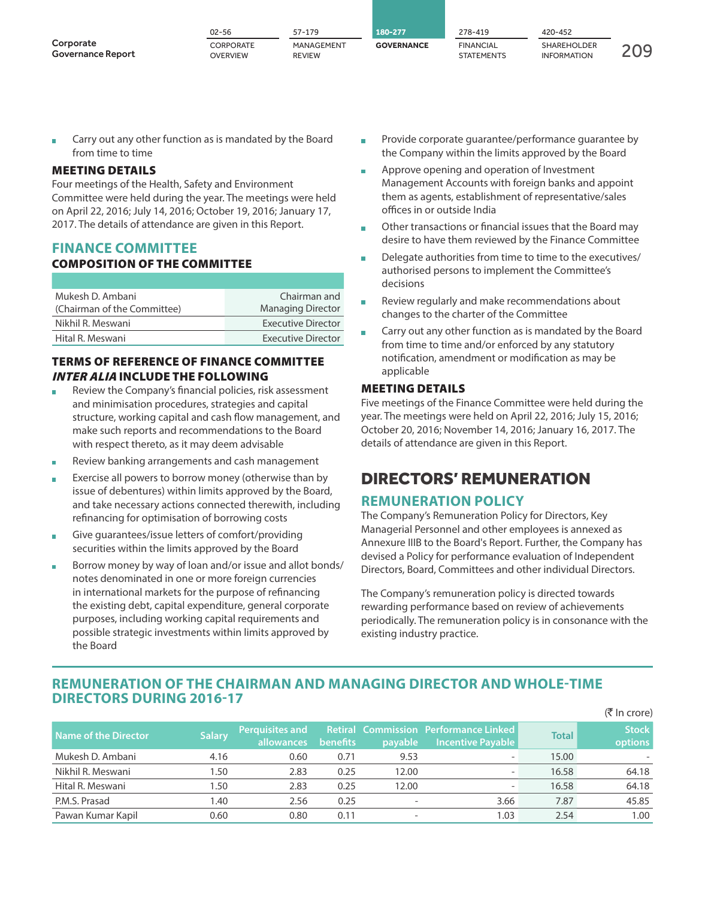|                                       | $02 - 56$                    | 57-179                      | 80-277            | 278-419                               | 420-452                                  |  |
|---------------------------------------|------------------------------|-----------------------------|-------------------|---------------------------------------|------------------------------------------|--|
| Corporate<br><b>Governance Report</b> | CORPORATE<br><b>OVERVIEW</b> | MANAGEMENT<br><b>REVIEW</b> | <b>GOVERNANCE</b> | <b>FINANCIAL</b><br><b>STATEMENTS</b> | <b>SHAREHOLDER</b><br><b>INFORMATION</b> |  |

**Carry out any other function as is mandated by the Board** from time to time

#### **MEETING DETAILS**

Four meetings of the Health, Safety and Environment Committee were held during the year. The meetings were held on April 22, 2016; July 14, 2016; October 19, 2016; January 17, 2017. The details of attendance are given in this Report.

### **FINANCE COMMITTEE**

#### **COMPOSITION OF THE COMMITTEE**

| Mukesh D. Ambani            | Chairman and              |
|-----------------------------|---------------------------|
| (Chairman of the Committee) | <b>Managing Director</b>  |
| Nikhil R. Meswani           | Executive Director        |
| Hital R. Meswani            | <b>Executive Director</b> |

### **TERMS OF REFERENCE OF FINANCE COMMITTEE INTER ALIA INCLUDE THE FOLLOWING**

- Review the Company's financial policies, risk assessment and minimisation procedures, strategies and capital structure, working capital and cash flow management, and make such reports and recommendations to the Board with respect thereto, as it may deem advisable
- Review banking arrangements and cash management
- **Exercise all powers to borrow money (otherwise than by** issue of debentures) within limits approved by the Board, and take necessary actions connected therewith, including refinancing for optimisation of borrowing costs
- Give guarantees/issue letters of comfort/providing securities within the limits approved by the Board
- **Borrow money by way of loan and/or issue and allot bonds/** notes denominated in one or more foreign currencies in international markets for the purpose of refinancing the existing debt, capital expenditure, general corporate purposes, including working capital requirements and possible strategic investments within limits approved by the Board
- **Provide corporate guarantee/performance guarantee by** the Company within the limits approved by the Board
- **Approve opening and operation of Investment** Management Accounts with foreign banks and appoint them as agents, establishment of representative/sales offices in or outside India
- Other transactions or financial issues that the Board may desire to have them reviewed by the Finance Committee
- Delegate authorities from time to time to the executives/ authorised persons to implement the Committee's decisions
- Review regularly and make recommendations about changes to the charter of the Committee
- **EXTERN** Carry out any other function as is mandated by the Board from time to time and/or enforced by any statutory notification, amendment or modification as may be applicable

#### **MEETING DETAILS**

Five meetings of the Finance Committee were held during the year. The meetings were held on April 22, 2016; July 15, 2016; October 20, 2016; November 14, 2016; January 16, 2017. The details of attendance are given in this Report.

### DIRECTORS' REMUNERATION

### **REMUNERATION POLICY**

The Company's Remuneration Policy for Directors, Key Managerial Personnel and other employees is annexed as Annexure IIIB to the Board's Report. Further, the Company has devised a Policy for performance evaluation of Independent Directors, Board, Committees and other individual Directors.

The Company's remuneration policy is directed towards rewarding performance based on review of achievements periodically. The remuneration policy is in consonance with the existing industry practice.

### **REMUNERATION OF THE CHAIRMAN AND MANAGING DIRECTOR AND WHOLE-TIME DIRECTORS DURING 2016-17**

|                             |               |                                      |                 |         |                                                                   |              | (₹ In crore)            |
|-----------------------------|---------------|--------------------------------------|-----------------|---------|-------------------------------------------------------------------|--------------|-------------------------|
| <b>Name of the Director</b> | <b>Salary</b> | <b>Perquisites and</b><br>allowances | <b>benefits</b> | payable | <b>Retiral Commission Performance Linked</b><br>Incentive Payable | <b>Total</b> | <b>Stock</b><br>options |
| Mukesh D. Ambani            | 4.16          | 0.60                                 | 0.71            | 9.53    | -                                                                 | 15.00        |                         |
| Nikhil R. Meswani           | 1.50          | 2.83                                 | 0.25            | 12.00   | -                                                                 | 16.58        | 64.18                   |
| Hital R. Meswani            | 1.50          | 2.83                                 | 0.25            | 12.00   | $\overline{\phantom{a}}$                                          | 16.58        | 64.18                   |
| P.M.S. Prasad               | 1.40          | 2.56                                 | 0.25            | ٠.      | 3.66                                                              | 7.87         | 45.85                   |
| Pawan Kumar Kapil           | 0.60          | 0.80                                 | 0.11            | -       | 1.03                                                              | 2.54         | 1.00                    |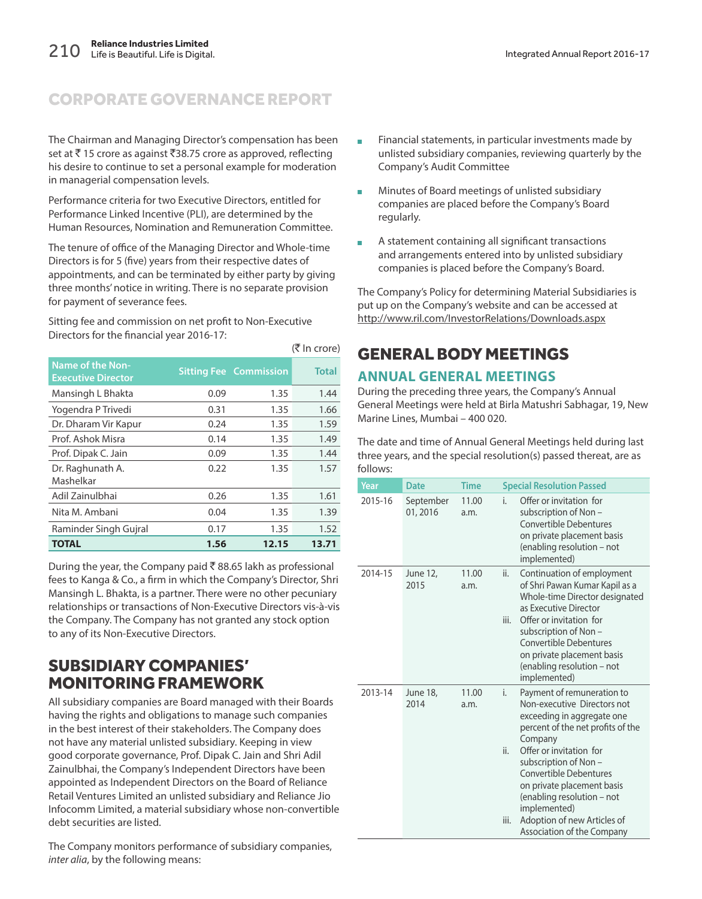The Chairman and Managing Director's compensation has been set at ₹15 crore as against ₹38.75 crore as approved, reflecting his desire to continue to set a personal example for moderation in managerial compensation levels.

Performance criteria for two Executive Directors, entitled for Performance Linked Incentive (PLI), are determined by the Human Resources, Nomination and Remuneration Committee.

The tenure of office of the Managing Director and Whole-time Directors is for 5 (five) years from their respective dates of appointments, and can be terminated by either party by giving three months' notice in writing. There is no separate provision for payment of severance fees.

(₹ In crore)

Sitting fee and commission on net profit to Non-Executive Directors for the financial year 2016-17:

| <b>Name of the Non-</b><br><b>Executive Director</b> |      | <b>Sitting Fee Commission</b> | <b>Total</b> |
|------------------------------------------------------|------|-------------------------------|--------------|
| Mansingh L Bhakta                                    | 0.09 | 1.35                          | 1.44         |
| Yogendra P Trivedi                                   | 0.31 | 1.35                          | 1.66         |
| Dr. Dharam Vir Kapur                                 | 0.24 | 1.35                          | 1.59         |
| Prof. Ashok Misra                                    | 0.14 | 1.35                          | 1.49         |
| Prof. Dipak C. Jain                                  | 0.09 | 1.35                          | 1.44         |
| Dr. Raghunath A.<br>Mashelkar                        | 0.22 | 1.35                          | 1.57         |
| Adil Zainulbhai                                      | 0.26 | 1.35                          | 1.61         |
| Nita M. Ambani                                       | 0.04 | 1.35                          | 1.39         |
| Raminder Singh Gujral                                | 0.17 | 1.35                          | 1.52         |
| <b>TOTAL</b>                                         | 1.56 | 12.15                         | 13.71        |

During the year, the Company paid  $\bar{\bar{\tau}}$  88.65 lakh as professional fees to Kanga & Co., a firm in which the Company's Director, Shri Mansingh L. Bhakta, is a partner. There were no other pecuniary relationships or transactions of Non-Executive Directors vis-à-vis the Company. The Company has not granted any stock option to any of its Non-Executive Directors.

### SUBSIDIARY COMPANIES' MONITORING FRAMEWORK

All subsidiary companies are Board managed with their Boards having the rights and obligations to manage such companies in the best interest of their stakeholders. The Company does not have any material unlisted subsidiary. Keeping in view good corporate governance, Prof. Dipak C. Jain and Shri Adil Zainulbhai, the Company's Independent Directors have been appointed as Independent Directors on the Board of Reliance Retail Ventures Limited an unlisted subsidiary and Reliance Jio Infocomm Limited, a material subsidiary whose non-convertible debt securities are listed.

The Company monitors performance of subsidiary companies, inter alia, by the following means:

- Financial statements, in particular investments made by unlisted subsidiary companies, reviewing quarterly by the Company's Audit Committee
- Minutes of Board meetings of unlisted subsidiary companies are placed before the Company's Board regularly.
- A statement containing all significant transactions and arrangements entered into by unlisted subsidiary companies is placed before the Company's Board.

The Company's Policy for determining Material Subsidiaries is put up on the Company's website and can be accessed at http://www.ril.com/InvestorRelations/Downloads.aspx

# GENERAL BODY MEETINGS

### **ANNUAL GENERAL MEETINGS**

During the preceding three years, the Company's Annual General Meetings were held at Birla Matushri Sabhagar, 19, New Marine Lines, Mumbai – 400 020.

The date and time of Annual General Meetings held during last three years, and the special resolution(s) passed thereat, are as follows:

| Year    | <b>Date</b>           | <b>Time</b>   | <b>Special Resolution Passed</b>                                                                                                                                                                                                                                                                                                                                                          |
|---------|-----------------------|---------------|-------------------------------------------------------------------------------------------------------------------------------------------------------------------------------------------------------------------------------------------------------------------------------------------------------------------------------------------------------------------------------------------|
| 2015-16 | September<br>01, 2016 | 11.00<br>a.m. | Offer or invitation for<br>i.<br>subscription of Non-<br><b>Convertible Debentures</b><br>on private placement basis<br>(enabling resolution - not<br>implemented)                                                                                                                                                                                                                        |
| 2014-15 | June 12,<br>2015      | 11.00<br>a.m. | ii.<br>Continuation of employment<br>of Shri Pawan Kumar Kapil as a<br>Whole-time Director designated<br>as Executive Director<br>iii.<br>Offer or invitation for<br>subscription of Non-<br><b>Convertible Debentures</b><br>on private placement basis<br>(enabling resolution - not<br>implemented)                                                                                    |
| 2013-14 | June 18,<br>2014      | 11.00<br>a.m. | i.<br>Payment of remuneration to<br>Non-executive Directors not<br>exceeding in aggregate one<br>percent of the net profits of the<br>Company<br>Offer or invitation for<br>ii.<br>subscription of Non-<br><b>Convertible Debentures</b><br>on private placement basis<br>(enabling resolution - not<br>implemented)<br>Adoption of new Articles of<br>iii.<br>Association of the Company |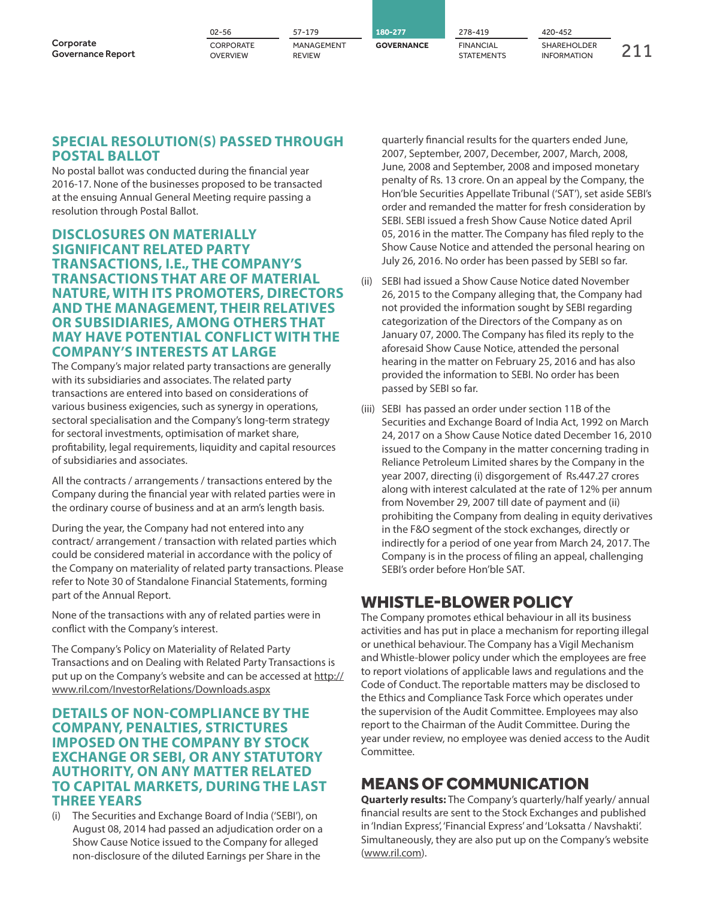|                                       | $02 - 56$             | 57-179                      | 180-277           | 278-419                        | 420-452                                  |  |
|---------------------------------------|-----------------------|-----------------------------|-------------------|--------------------------------|------------------------------------------|--|
| Corporate<br><b>Governance Report</b> | CORPORATE<br>OVERVIEW | MANAGEMENT<br><b>REVIEW</b> | <b>GOVERNANCE</b> | <b>FINANCIAL</b><br>STATEMENTS | <b>SHAREHOLDER</b><br><b>INFORMATION</b> |  |

### **SPECIAL RESOLUTION(S) PASSED THROUGH POSTAL BALLOT**

No postal ballot was conducted during the financial year 2016-17. None of the businesses proposed to be transacted at the ensuing Annual General Meeting require passing a resolution through Postal Ballot.

### **DISCLOSURES ON MATERIALLY SIGNIFICANT RELATED PARTY TRANSACTIONS, I.E., THE COMPANY'S TRANSACTIONS THAT ARE OF MATERIAL NATURE, WITH ITS PROMOTERS, DIRECTORS AND THE MANAGEMENT, THEIR RELATIVES OR SUBSIDIARIES, AMONG OTHERS THAT MAY HAVE POTENTIAL CONFLICT WITH THE COMPANY'S INTERESTS AT LARGE**

The Company's major related party transactions are generally with its subsidiaries and associates. The related party transactions are entered into based on considerations of various business exigencies, such as synergy in operations, sectoral specialisation and the Company's long-term strategy for sectoral investments, optimisation of market share, profitability, legal requirements, liquidity and capital resources of subsidiaries and associates.

All the contracts / arrangements / transactions entered by the Company during the financial year with related parties were in the ordinary course of business and at an arm's length basis.

During the year, the Company had not entered into any contract/ arrangement / transaction with related parties which could be considered material in accordance with the policy of the Company on materiality of related party transactions. Please refer to Note 30 of Standalone Financial Statements, forming part of the Annual Report.

None of the transactions with any of related parties were in conflict with the Company's interest.

The Company's Policy on Materiality of Related Party Transactions and on Dealing with Related Party Transactions is put up on the Company's website and can be accessed at http:// www.ril.com/InvestorRelations/Downloads.aspx

### **DETAILS OF NON-COMPLIANCE BY THE COMPANY, PENALTIES, STRICTURES IMPOSED ON THE COMPANY BY STOCK EXCHANGE OR SEBI, OR ANY STATUTORY AUTHORITY, ON ANY MATTER RELATED TO CAPITAL MARKETS, DURING THE LAST THREE YEARS**

(i) The Securities and Exchange Board of India ('SEBI'), on August 08, 2014 had passed an adjudication order on a Show Cause Notice issued to the Company for alleged non-disclosure of the diluted Earnings per Share in the

quarterly financial results for the quarters ended June, 2007, September, 2007, December, 2007, March, 2008, June, 2008 and September, 2008 and imposed monetary penalty of Rs. 13 crore. On an appeal by the Company, the Hon'ble Securities Appellate Tribunal ('SAT'), set aside SEBI's order and remanded the matter for fresh consideration by SEBI. SEBI issued a fresh Show Cause Notice dated April 05, 2016 in the matter. The Company has filed reply to the Show Cause Notice and attended the personal hearing on July 26, 2016. No order has been passed by SEBI so far.

- (ii) SEBI had issued a Show Cause Notice dated November 26, 2015 to the Company alleging that, the Company had not provided the information sought by SEBI regarding categorization of the Directors of the Company as on January 07, 2000. The Company has filed its reply to the aforesaid Show Cause Notice, attended the personal hearing in the matter on February 25, 2016 and has also provided the information to SEBI. No order has been passed by SEBI so far.
- (iii) SEBI has passed an order under section 11B of the Securities and Exchange Board of India Act, 1992 on March 24, 2017 on a Show Cause Notice dated December 16, 2010 issued to the Company in the matter concerning trading in Reliance Petroleum Limited shares by the Company in the year 2007, directing (i) disgorgement of Rs.447.27 crores along with interest calculated at the rate of 12% per annum from November 29, 2007 till date of payment and (ii) prohibiting the Company from dealing in equity derivatives in the F&O segment of the stock exchanges, directly or indirectly for a period of one year from March 24, 2017. The Company is in the process of filing an appeal, challenging SEBI's order before Hon'ble SAT.

### WHISTLE-BLOWER POLICY

The Company promotes ethical behaviour in all its business activities and has put in place a mechanism for reporting illegal or unethical behaviour. The Company has a Vigil Mechanism and Whistle-blower policy under which the employees are free to report violations of applicable laws and regulations and the Code of Conduct. The reportable matters may be disclosed to the Ethics and Compliance Task Force which operates under the supervision of the Audit Committee. Employees may also report to the Chairman of the Audit Committee. During the year under review, no employee was denied access to the Audit Committee.

## MEANS OF COMMUNICATION

**Quarterly results:** The Company's quarterly/half yearly/ annual financial results are sent to the Stock Exchanges and published in 'Indian Express', 'Financial Express' and 'Loksatta / Navshakti'. Simultaneously, they are also put up on the Company's website (www.ril.com).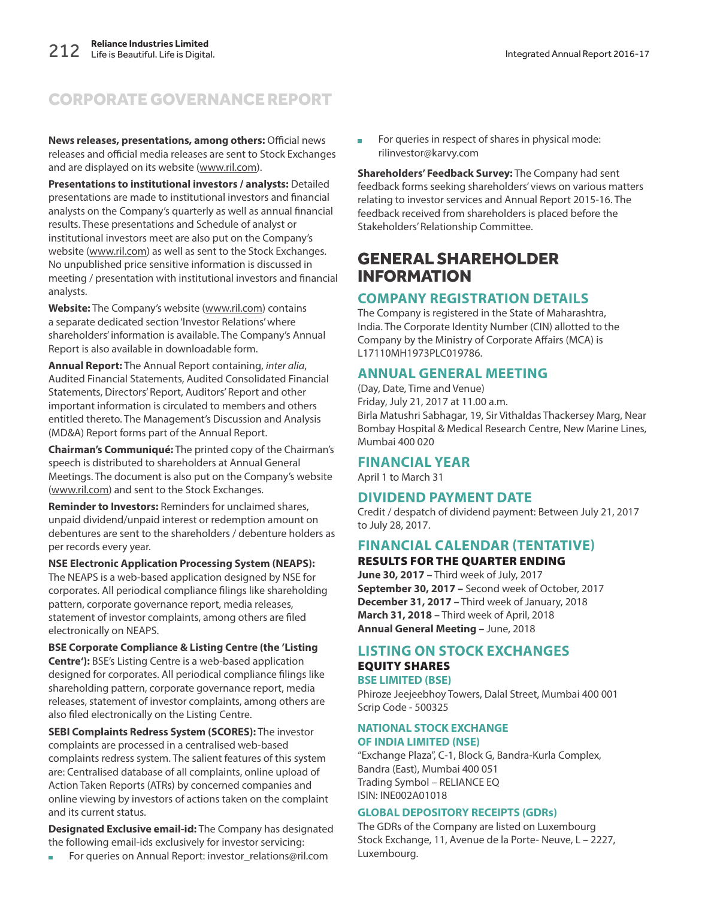**News releases, presentations, among others:** Official news releases and official media releases are sent to Stock Exchanges and are displayed on its website (www.ril.com).

**Presentations to institutional investors / analysts:** Detailed presentations are made to institutional investors and financial analysts on the Company's quarterly as well as annual financial results. These presentations and Schedule of analyst or institutional investors meet are also put on the Company's website (www.ril.com) as well as sent to the Stock Exchanges. No unpublished price sensitive information is discussed in meeting / presentation with institutional investors and financial analysts.

**Website:** The Company's website (www.ril.com) contains a separate dedicated section 'Investor Relations' where shareholders' information is available. The Company's Annual Report is also available in downloadable form.

**Annual Report:** The Annual Report containing, inter alia, Audited Financial Statements, Audited Consolidated Financial Statements, Directors' Report, Auditors' Report and other important information is circulated to members and others entitled thereto. The Management's Discussion and Analysis (MD&A) Report forms part of the Annual Report.

**Chairman's Communiqué:** The printed copy of the Chairman's speech is distributed to shareholders at Annual General Meetings. The document is also put on the Company's website (www.ril.com) and sent to the Stock Exchanges.

**Reminder to Investors:** Reminders for unclaimed shares, unpaid dividend/unpaid interest or redemption amount on debentures are sent to the shareholders / debenture holders as per records every year.

**NSE Electronic Application Processing System (NEAPS):** The NEAPS is a web-based application designed by NSE for corporates. All periodical compliance filings like shareholding pattern, corporate governance report, media releases, statement of investor complaints, among others are filed electronically on NEAPS.

**BSE Corporate Compliance & Listing Centre (the 'Listing Centre'):** BSE's Listing Centre is a web-based application designed for corporates. All periodical compliance filings like shareholding pattern, corporate governance report, media releases, statement of investor complaints, among others are also filed electronically on the Listing Centre.

**SEBI Complaints Redress System (SCORES):** The investor complaints are processed in a centralised web-based complaints redress system. The salient features of this system are: Centralised database of all complaints, online upload of Action Taken Reports (ATRs) by concerned companies and online viewing by investors of actions taken on the complaint and its current status.

**Designated Exclusive email-id:** The Company has designated the following email-ids exclusively for investor servicing:

For queries on Annual Report: investor\_relations@ril.com

For queries in respect of shares in physical mode: rilinvestor@karvy.com

**Shareholders' Feedback Survey:** The Company had sent feedback forms seeking shareholders' views on various matters relating to investor services and Annual Report 2015-16. The feedback received from shareholders is placed before the Stakeholders' Relationship Committee.

### GENERAL SHAREHOLDER INFORMATION

### **COMPANY REGISTRATION DETAILS**

The Company is registered in the State of Maharashtra, India. The Corporate Identity Number (CIN) allotted to the Company by the Ministry of Corporate Affairs (MCA) is L17110MH1973PLC019786.

### **ANNUAL GENERAL MEETING**

(Day, Date, Time and Venue) Friday, July 21, 2017 at 11.00 a.m. Birla Matushri Sabhagar, 19, Sir Vithaldas Thackersey Marg, Near Bombay Hospital & Medical Research Centre, New Marine Lines, Mumbai 400 020

#### **FINANCIAL YEAR**

April 1 to March 31

### **DIVIDEND PAYMENT DATE**

Credit / despatch of dividend payment: Between July 21, 2017 to July 28, 2017.

### **FINANCIAL CALENDAR (TENTATIVE)**

**RESULTS FOR THE QUARTER ENDING June 30, 2017 –** Third week of July, 2017 **September 30, 2017 –** Second week of October, 2017 **December 31, 2017 –** Third week of January, 2018

**March 31, 2018 –** Third week of April, 2018 **Annual General Meeting –** June, 2018

### **LISTING ON STOCK EXCHANGES EQUITY SHARES**

**BSE LIMITED (BSE)**

Phiroze Jeejeebhoy Towers, Dalal Street, Mumbai 400 001 Scrip Code - 500325

### **NATIONAL STOCK EXCHANGE OF INDIA LIMITED (NSE)**

"Exchange Plaza", C-1, Block G, Bandra-Kurla Complex, Bandra (East), Mumbai 400 051 Trading Symbol – RELIANCE EQ ISIN: INE002A01018

#### **GLOBAL DEPOSITORY RECEIPTS (GDRs)**

The GDRs of the Company are listed on Luxembourg Stock Exchange, 11, Avenue de la Porte- Neuve, L – 2227, Luxembourg.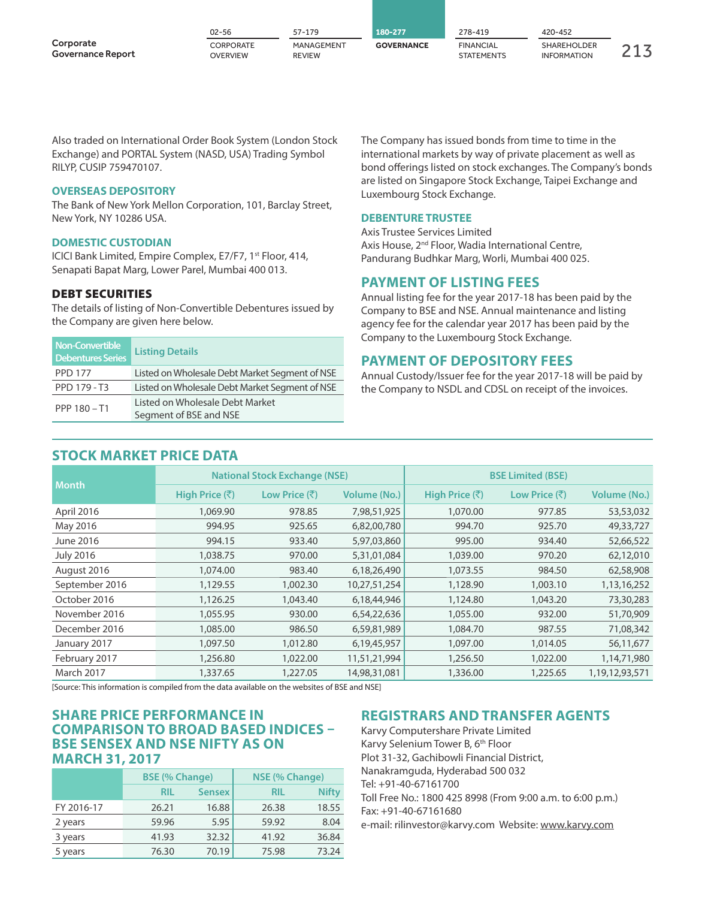|                                       | $02 - 56$             | 57-179                      | 180-277           | 278-419                        | 420-452                                  |  |
|---------------------------------------|-----------------------|-----------------------------|-------------------|--------------------------------|------------------------------------------|--|
| Corporate<br><b>Governance Report</b> | CORPORATE<br>OVERVIEW | MANAGEMENT<br><b>REVIEW</b> | <b>GOVERNANCE</b> | <b>FINANCIAL</b><br>STATEMENTS | <b>SHAREHOLDER</b><br><b>INFORMATION</b> |  |

Also traded on International Order Book System (London Stock Exchange) and PORTAL System (NASD, USA) Trading Symbol RILYP, CUSIP 759470107.

#### **OVERSEAS DEPOSITORY**

The Bank of New York Mellon Corporation, 101, Barclay Street, New York, NY 10286 USA.

#### **DOMESTIC CUSTODIAN**

ICICI Bank Limited, Empire Complex, E7/F7, 1st Floor, 414, Senapati Bapat Marg, Lower Parel, Mumbai 400 013.

#### **DEBT SECURITIES**

The details of listing of Non-Convertible Debentures issued by the Company are given here below.

| Non-Convertible<br><b>Debentures Series</b> | <b>Listing Details</b>                                    |
|---------------------------------------------|-----------------------------------------------------------|
| <b>PPD 177</b>                              | Listed on Wholesale Debt Market Segment of NSE            |
| PPD 179 - T3                                | Listed on Wholesale Debt Market Segment of NSE            |
| PPP 180-T1                                  | Listed on Wholesale Debt Market<br>Segment of BSE and NSE |

#### **STOCK MARKET PRICE DATA**

The Company has issued bonds from time to time in the international markets by way of private placement as well as bond offerings listed on stock exchanges. The Company's bonds are listed on Singapore Stock Exchange, Taipei Exchange and Luxembourg Stock Exchange.

#### **DEBENTURE TRUSTEE**

Axis Trustee Services Limited Axis House, 2<sup>nd</sup> Floor, Wadia International Centre, Pandurang Budhkar Marg, Worli, Mumbai 400 025.

#### **PAYMENT OF LISTING FEES**

Annual listing fee for the year 2017-18 has been paid by the Company to BSE and NSE. Annual maintenance and listing agency fee for the calendar year 2017 has been paid by the Company to the Luxembourg Stock Exchange.

#### **PAYMENT OF DEPOSITORY FEES**

Annual Custody/Issuer fee for the year 2017-18 will be paid by the Company to NSDL and CDSL on receipt of the invoices.

| <b>Month</b>     |                        | <b>National Stock Exchange (NSE)</b> |                     | <b>BSE Limited (BSE)</b> |                                 |                     |  |
|------------------|------------------------|--------------------------------------|---------------------|--------------------------|---------------------------------|---------------------|--|
|                  | High Price $(\bar{z})$ | Low Price (₹)                        | <b>Volume (No.)</b> | High Price (₹)           | Low Price $(\bar{\bar{\zeta}})$ | <b>Volume (No.)</b> |  |
| April 2016       | 1,069.90               | 978.85                               | 7,98,51,925         | 1,070.00                 | 977.85                          | 53,53,032           |  |
| May 2016         | 994.95                 | 925.65                               | 6,82,00,780         | 994.70                   | 925.70                          | 49,33,727           |  |
| June 2016        | 994.15                 | 933.40                               | 5,97,03,860         | 995.00                   | 934.40                          | 52,66,522           |  |
| <b>July 2016</b> | 1,038.75               | 970.00                               | 5,31,01,084         | 1,039.00                 | 970.20                          | 62,12,010           |  |
| August 2016      | 1,074.00               | 983.40                               | 6,18,26,490         | 1,073.55                 | 984.50                          | 62,58,908           |  |
| September 2016   | 1,129.55               | 1,002.30                             | 10,27,51,254        | 1,128.90                 | 1,003.10                        | 1,13,16,252         |  |
| October 2016     | 1,126.25               | 1,043.40                             | 6,18,44,946         | 1,124.80                 | 1,043.20                        | 73,30,283           |  |
| November 2016    | 1,055.95               | 930.00                               | 6,54,22,636         | 1,055.00                 | 932.00                          | 51,70,909           |  |
| December 2016    | 1,085.00               | 986.50                               | 6,59,81,989         | 1,084.70                 | 987.55                          | 71,08,342           |  |
| January 2017     | 1,097.50               | 1,012.80                             | 6,19,45,957         | 1,097.00                 | 1,014.05                        | 56,11,677           |  |
| February 2017    | 1,256.80               | 1,022.00                             | 11,51,21,994        | 1,256.50                 | 1,022.00                        | 1,14,71,980         |  |
| March 2017       | 1,337.65               | 1,227.05                             | 14,98,31,081        | 1,336.00                 | 1,225.65                        | 1,19,12,93,571      |  |

[Source: This information is compiled from the data available on the websites of BSE and NSE]

### **SHARE PRICE PERFORMANCE IN COMPARISON TO BROAD BASED INDICES – BSE SENSEX AND NSE NIFTY AS ON MARCH 31, 2017**

|            | <b>BSE (% Change)</b> |               | NSE (% Change) |              |  |
|------------|-----------------------|---------------|----------------|--------------|--|
|            | <b>RIL</b>            | <b>Sensex</b> | RIL            | <b>Nifty</b> |  |
| FY 2016-17 | 26.21                 | 16.88         | 26.38          | 18.55        |  |
| 2 years    | 59.96                 | 5.95          | 59.92          | 8.04         |  |
| 3 years    | 41.93                 | 32.32         | 41.92          | 36.84        |  |
| 5 years    | 76.30                 | 70.19         | 75.98          | 73.24        |  |

### **REGISTRARS AND TRANSFER AGENTS**

Karvy Computershare Private Limited Karvy Selenium Tower B, 6<sup>th</sup> Floor Plot 31-32, Gachibowli Financial District, Nanakramguda, Hyderabad 500 032 Tel: +91-40-67161700 Toll Free No.: 1800 425 8998 (From 9:00 a.m. to 6:00 p.m.) Fax: +91-40-67161680 e-mail: rilinvestor@karvy.com Website: www.karvy.com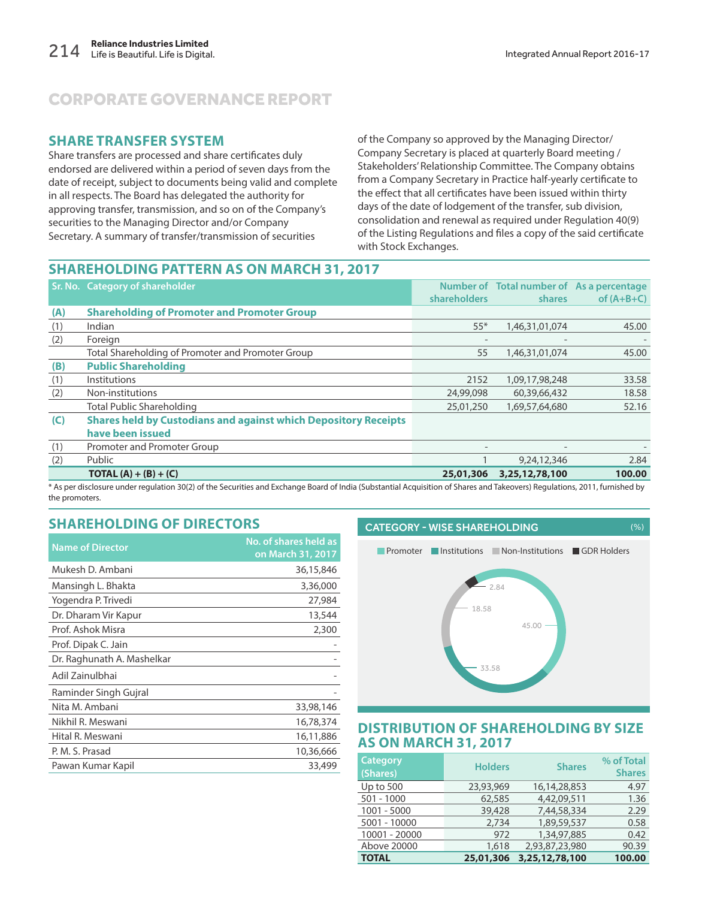### **SHARE TRANSFER SYSTEM**

Share transfers are processed and share certificates duly endorsed are delivered within a period of seven days from the date of receipt, subject to documents being valid and complete in all respects. The Board has delegated the authority for approving transfer, transmission, and so on of the Company's securities to the Managing Director and/or Company Secretary. A summary of transfer/transmission of securities

of the Company so approved by the Managing Director/ Company Secretary is placed at quarterly Board meeting / Stakeholders' Relationship Committee. The Company obtains from a Company Secretary in Practice half-yearly certificate to the effect that all certificates have been issued within thirty days of the date of lodgement of the transfer, sub division, consolidation and renewal as required under Regulation 40(9) of the Listing Regulations and files a copy of the said certificate with Stock Exchanges.

### **SHAREHOLDING PATTERN AS ON MARCH 31, 2017**

|     | <b>Sr. No. Category of shareholder</b>                                 |                     | Number of Total number of As a percentage |              |
|-----|------------------------------------------------------------------------|---------------------|-------------------------------------------|--------------|
|     |                                                                        | <b>shareholders</b> | shares                                    | of $(A+B+C)$ |
| (A) | <b>Shareholding of Promoter and Promoter Group</b>                     |                     |                                           |              |
| (1) | Indian                                                                 | $55*$               | 1,46,31,01,074                            | 45.00        |
| (2) | Foreign                                                                |                     |                                           |              |
|     | Total Shareholding of Promoter and Promoter Group                      | 55                  | 1,46,31,01,074                            | 45.00        |
| (B) | <b>Public Shareholding</b>                                             |                     |                                           |              |
| (1) | Institutions                                                           | 2152                | 1,09,17,98,248                            | 33.58        |
| (2) | Non-institutions                                                       | 24,99,098           | 60,39,66,432                              | 18.58        |
|     | <b>Total Public Shareholding</b>                                       | 25,01,250           | 1,69,57,64,680                            | 52.16        |
| (C) | <b>Shares held by Custodians and against which Depository Receipts</b> |                     |                                           |              |
|     | have been issued                                                       |                     |                                           |              |
| (1) | Promoter and Promoter Group                                            | $\sim$              | $\overline{\phantom{a}}$                  |              |
| (2) | Public                                                                 |                     | 9,24,12,346                               | 2.84         |
|     | <b>TOTAL</b> (A) + (B) + (C)                                           | 25,01,306           | 3,25,12,78,100                            | 100.00       |

\* As per disclosure under regulation 30(2) of the Securities and Exchange Board of India (Substantial Acquisition of Shares and Takeovers) Regulations, 2011, furnished by the promoters.

### **SHAREHOLDING OF DIRECTORS**

| <b>Name of Director</b>    | No. of shares held as<br>on March 31, 2017 |
|----------------------------|--------------------------------------------|
| Mukesh D. Ambani           | 36,15,846                                  |
| Mansingh L. Bhakta         | 3,36,000                                   |
| Yogendra P. Trivedi        | 27,984                                     |
| Dr. Dharam Vir Kapur       | 13,544                                     |
| Prof. Ashok Misra          | 2,300                                      |
| Prof. Dipak C. Jain        |                                            |
| Dr. Raghunath A. Mashelkar |                                            |
| Adil Zainulbhai            |                                            |
| Raminder Singh Gujral      |                                            |
| Nita M. Ambani             | 33,98,146                                  |
| Nikhil R. Meswani          | 16,78,374                                  |
| Hital R. Meswani           | 16,11,886                                  |
| P. M. S. Prasad            | 10,36,666                                  |
| Pawan Kumar Kapil          | 33,499                                     |

# CATEGORY - WISE SHAREHOLDING (%) **Promoter Institutions Non-Institutions GDR Holders**



### **DISTRIBUTION OF SHAREHOLDING BY SIZE AS ON MARCH 31, 2017**

| <b>Category</b><br>(Shares) | <b>Holders</b> | <b>Shares</b>   | % of Total<br><b>Shares</b> |
|-----------------------------|----------------|-----------------|-----------------------------|
| Up to 500                   | 23,93,969      | 16, 14, 28, 853 | 4.97                        |
| $501 - 1000$                | 62,585         | 4,42,09,511     | 1.36                        |
| $1001 - 5000$               | 39,428         | 7,44,58,334     | 2.29                        |
| 5001 - 10000                | 2.734          | 1,89,59,537     | 0.58                        |
| 10001 - 20000               | 972            | 1,34,97,885     | 0.42                        |
| Above 20000                 | 1,618          | 2,93,87,23,980  | 90.39                       |
| <b>TOTAL</b>                | 25,01,306      | 3,25,12,78,100  | 100.00                      |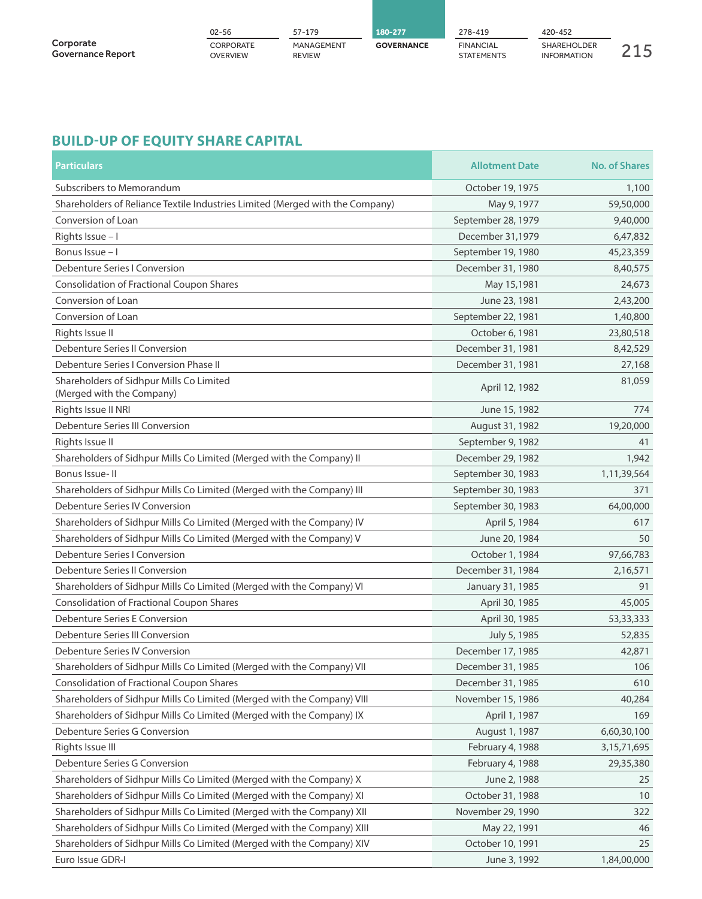|                                       | 02-56                 | 57-179                      | 180-277           | 278-419                               | 420-452                                  |  |
|---------------------------------------|-----------------------|-----------------------------|-------------------|---------------------------------------|------------------------------------------|--|
| Corporate<br><b>Governance Report</b> | CORPORATE<br>OVERVIEW | MANAGEMENT<br><b>REVIEW</b> | <b>GOVERNANCE</b> | <b>FINANCIAL</b><br><b>STATEMENTS</b> | <b>SHAREHOLDER</b><br><b>INFORMATION</b> |  |

### **BUILD-UP OF EQUITY SHARE CAPITAL**

| <b>Particulars</b>                                                            | <b>Allotment Date</b> | <b>No. of Shares</b> |
|-------------------------------------------------------------------------------|-----------------------|----------------------|
| Subscribers to Memorandum                                                     | October 19, 1975      | 1,100                |
| Shareholders of Reliance Textile Industries Limited (Merged with the Company) | May 9, 1977           | 59,50,000            |
| Conversion of Loan                                                            | September 28, 1979    | 9,40,000             |
| Rights Issue - I                                                              | December 31,1979      | 6,47,832             |
| Bonus Issue - I                                                               | September 19, 1980    | 45,23,359            |
| Debenture Series I Conversion                                                 | December 31, 1980     | 8,40,575             |
| Consolidation of Fractional Coupon Shares                                     | May 15,1981           | 24,673               |
| Conversion of Loan                                                            | June 23, 1981         | 2,43,200             |
| Conversion of Loan                                                            | September 22, 1981    | 1,40,800             |
| Rights Issue II                                                               | October 6, 1981       | 23,80,518            |
| Debenture Series II Conversion                                                | December 31, 1981     | 8,42,529             |
| Debenture Series I Conversion Phase II                                        | December 31, 1981     | 27,168               |
| Shareholders of Sidhpur Mills Co Limited<br>(Merged with the Company)         | April 12, 1982        | 81,059               |
| Rights Issue II NRI                                                           | June 15, 1982         | 774                  |
| Debenture Series III Conversion                                               | August 31, 1982       | 19,20,000            |
| Rights Issue II                                                               | September 9, 1982     | 41                   |
| Shareholders of Sidhpur Mills Co Limited (Merged with the Company) II         | December 29, 1982     | 1,942                |
| Bonus Issue-II                                                                | September 30, 1983    | 1,11,39,564          |
| Shareholders of Sidhpur Mills Co Limited (Merged with the Company) III        | September 30, 1983    | 371                  |
| Debenture Series IV Conversion                                                | September 30, 1983    | 64,00,000            |
| Shareholders of Sidhpur Mills Co Limited (Merged with the Company) IV         | April 5, 1984         | 617                  |
| Shareholders of Sidhpur Mills Co Limited (Merged with the Company) V          | June 20, 1984         | 50                   |
| Debenture Series I Conversion                                                 | October 1, 1984       | 97,66,783            |
| Debenture Series II Conversion                                                | December 31, 1984     | 2,16,571             |
| Shareholders of Sidhpur Mills Co Limited (Merged with the Company) VI         | January 31, 1985      | 91                   |
| Consolidation of Fractional Coupon Shares                                     | April 30, 1985        | 45,005               |
| Debenture Series E Conversion                                                 | April 30, 1985        | 53, 33, 333          |
| Debenture Series III Conversion                                               | July 5, 1985          | 52,835               |
| Debenture Series IV Conversion                                                | December 17, 1985     | 42,871               |
| Shareholders of Sidhpur Mills Co Limited (Merged with the Company) VII        | December 31, 1985     | 106                  |
| <b>Consolidation of Fractional Coupon Shares</b>                              | December 31, 1985     | 610                  |
| Shareholders of Sidhpur Mills Co Limited (Merged with the Company) VIII       | November 15, 1986     | 40,284               |
| Shareholders of Sidhpur Mills Co Limited (Merged with the Company) IX         | April 1, 1987         | 169                  |
| Debenture Series G Conversion                                                 | August 1, 1987        | 6,60,30,100          |
| Rights Issue III                                                              | February 4, 1988      | 3, 15, 71, 695       |
| Debenture Series G Conversion                                                 | February 4, 1988      | 29,35,380            |
| Shareholders of Sidhpur Mills Co Limited (Merged with the Company) X          | June 2, 1988          | 25                   |
| Shareholders of Sidhpur Mills Co Limited (Merged with the Company) XI         | October 31, 1988      | 10                   |
| Shareholders of Sidhpur Mills Co Limited (Merged with the Company) XII        | November 29, 1990     | 322                  |
| Shareholders of Sidhpur Mills Co Limited (Merged with the Company) XIII       | May 22, 1991          | 46                   |
| Shareholders of Sidhpur Mills Co Limited (Merged with the Company) XIV        | October 10, 1991      | 25                   |
| Euro Issue GDR-I                                                              | June 3, 1992          | 1,84,00,000          |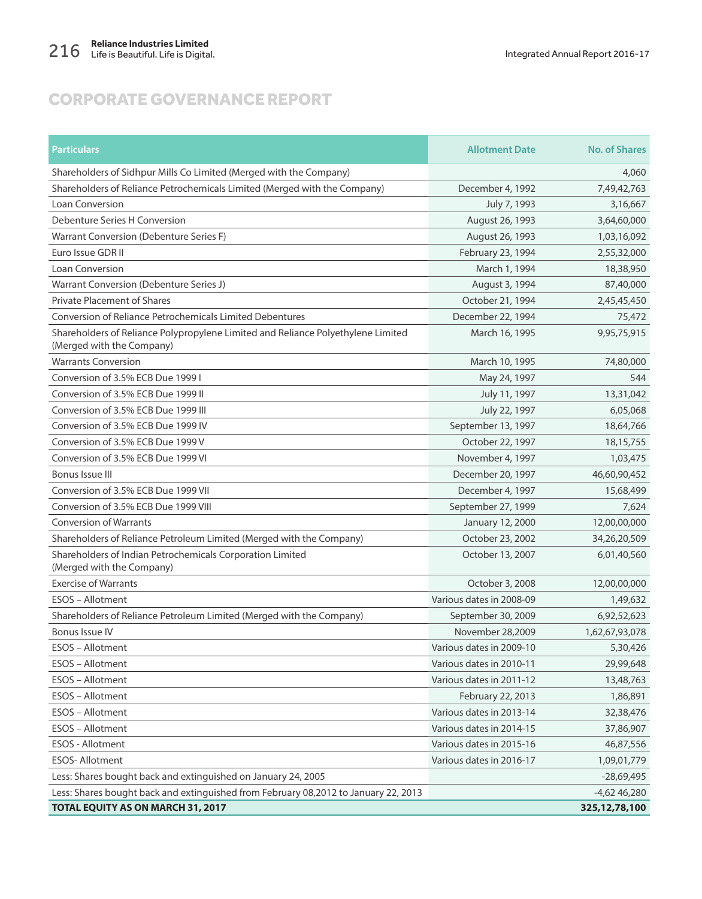| <b>Particulars</b>                                                                                            | <b>Allotment Date</b>    | <b>No. of Shares</b> |
|---------------------------------------------------------------------------------------------------------------|--------------------------|----------------------|
| Shareholders of Sidhpur Mills Co Limited (Merged with the Company)                                            |                          | 4,060                |
| Shareholders of Reliance Petrochemicals Limited (Merged with the Company)                                     | December 4, 1992         | 7,49,42,763          |
| <b>Loan Conversion</b>                                                                                        | July 7, 1993             | 3,16,667             |
| Debenture Series H Conversion                                                                                 | August 26, 1993          | 3,64,60,000          |
| Warrant Conversion (Debenture Series F)                                                                       | August 26, 1993          | 1,03,16,092          |
| Euro Issue GDR II                                                                                             | February 23, 1994        | 2,55,32,000          |
| Loan Conversion                                                                                               | March 1, 1994            | 18,38,950            |
| Warrant Conversion (Debenture Series J)                                                                       | August 3, 1994           | 87,40,000            |
| <b>Private Placement of Shares</b>                                                                            | October 21, 1994         | 2,45,45,450          |
| <b>Conversion of Reliance Petrochemicals Limited Debentures</b>                                               | December 22, 1994        | 75,472               |
| Shareholders of Reliance Polypropylene Limited and Reliance Polyethylene Limited<br>(Merged with the Company) | March 16, 1995           | 9,95,75,915          |
| <b>Warrants Conversion</b>                                                                                    | March 10, 1995           | 74,80,000            |
| Conversion of 3.5% ECB Due 1999 I                                                                             | May 24, 1997             | 544                  |
| Conversion of 3.5% ECB Due 1999 II                                                                            | July 11, 1997            | 13,31,042            |
| Conversion of 3.5% ECB Due 1999 III                                                                           | July 22, 1997            | 6,05,068             |
| Conversion of 3.5% ECB Due 1999 IV                                                                            | September 13, 1997       | 18,64,766            |
| Conversion of 3.5% ECB Due 1999 V                                                                             | October 22, 1997         | 18, 15, 755          |
| Conversion of 3.5% ECB Due 1999 VI                                                                            | November 4, 1997         | 1,03,475             |
| Bonus Issue III                                                                                               | December 20, 1997        | 46,60,90,452         |
| Conversion of 3.5% ECB Due 1999 VII                                                                           | December 4, 1997         | 15,68,499            |
| Conversion of 3.5% ECB Due 1999 VIII                                                                          | September 27, 1999       | 7,624                |
| <b>Conversion of Warrants</b>                                                                                 | January 12, 2000         | 12,00,00,000         |
| Shareholders of Reliance Petroleum Limited (Merged with the Company)                                          | October 23, 2002         | 34,26,20,509         |
| Shareholders of Indian Petrochemicals Corporation Limited<br>(Merged with the Company)                        | October 13, 2007         | 6,01,40,560          |
| <b>Exercise of Warrants</b>                                                                                   | October 3, 2008          | 12,00,00,000         |
| ESOS - Allotment                                                                                              | Various dates in 2008-09 | 1,49,632             |
| Shareholders of Reliance Petroleum Limited (Merged with the Company)                                          | September 30, 2009       | 6,92,52,623          |
| Bonus Issue IV                                                                                                | November 28,2009         | 1,62,67,93,078       |
| <b>ESOS - Allotment</b>                                                                                       | Various dates in 2009-10 | 5,30,426             |
| ESOS - Allotment                                                                                              | Various dates in 2010-11 | 29,99,648            |
| ESOS - Allotment                                                                                              | Various dates in 2011-12 | 13,48,763            |
| ESOS - Allotment                                                                                              | February 22, 2013        | 1,86,891             |
| ESOS - Allotment                                                                                              | Various dates in 2013-14 | 32,38,476            |
| ESOS - Allotment                                                                                              | Various dates in 2014-15 | 37,86,907            |
| ESOS - Allotment                                                                                              | Various dates in 2015-16 | 46,87,556            |
| ESOS-Allotment                                                                                                | Various dates in 2016-17 | 1,09,01,779          |
| Less: Shares bought back and extinguished on January 24, 2005                                                 |                          | $-28,69,495$         |
| Less: Shares bought back and extinguished from February 08,2012 to January 22, 2013                           |                          | $-4,6246,280$        |
| TOTAL EQUITY AS ON MARCH 31, 2017                                                                             |                          | 325, 12, 78, 100     |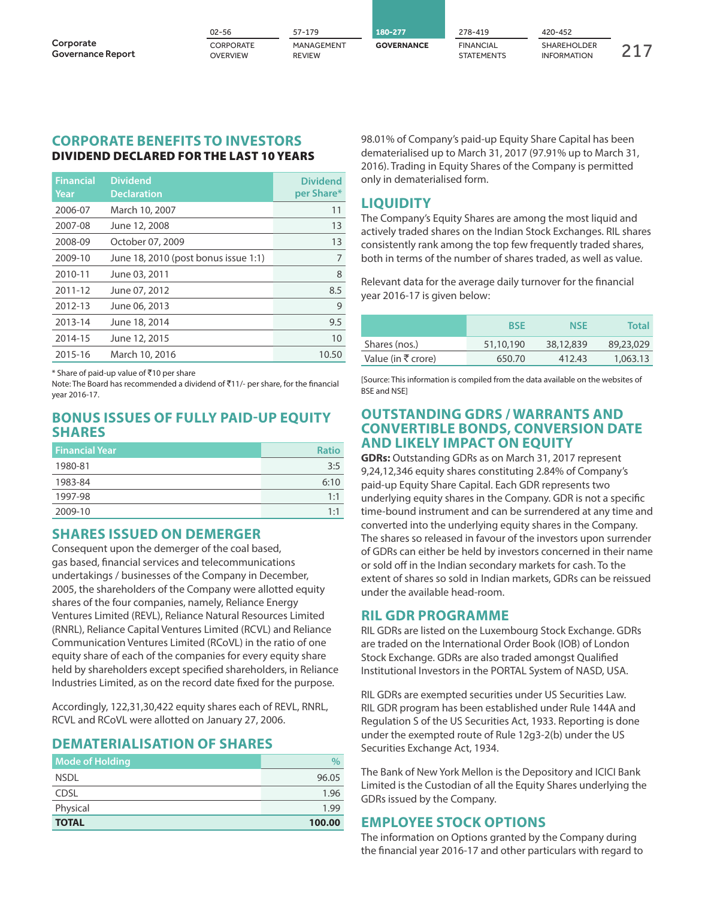|                                       | $02 - 56$                    | $57 - 179$                  | 180-277           | 278-419                        | 420-452                                  |  |
|---------------------------------------|------------------------------|-----------------------------|-------------------|--------------------------------|------------------------------------------|--|
| Corporate<br><b>Governance Report</b> | CORPORATE<br><b>OVERVIEW</b> | MANAGEMENT<br><b>REVIEW</b> | <b>GOVERNANCE</b> | <b>FINANCIAL</b><br>STATEMENTS | <b>SHAREHOLDER</b><br><b>INFORMATION</b> |  |

#### **CORPORATE BENEFITS TO INVESTORS DIVIDEND DECLARED FOR THE LAST 10 YEARS**

| <b>Financial</b><br>Year | <b>Dividend</b><br><b>Declaration</b> | <b>Dividend</b><br>per Share* |
|--------------------------|---------------------------------------|-------------------------------|
| 2006-07                  | March 10, 2007                        | 11                            |
| 2007-08                  | June 12, 2008                         | 13                            |
| 2008-09                  | October 07, 2009                      | 13                            |
| 2009-10                  | June 18, 2010 (post bonus issue 1:1)  | 7                             |
| 2010-11                  | June 03, 2011                         | 8                             |
| 2011-12                  | June 07, 2012                         | 8.5                           |
| 2012-13                  | June 06, 2013                         | 9                             |
| 2013-14                  | June 18, 2014                         | 9.5                           |
| 2014-15                  | June 12, 2015                         | 10                            |
| 2015-16                  | March 10, 2016                        | 10.50                         |

\* Share of paid-up value of  $\overline{5}10$  per share

Note: The Board has recommended a dividend of ₹11/- per share, for the financial year 2016-17.

### **BONUS ISSUES OF FULLY PAID-UP EQUITY SHARES**

| <b>Financial Year</b> | <b>Ratio</b> |
|-----------------------|--------------|
| 1980-81               | 3:5          |
| 1983-84               | 6:10         |
| 1997-98               | 1:1          |
| 2009-10               | 1·1          |

### **SHARES ISSUED ON DEMERGER**

Consequent upon the demerger of the coal based, gas based, financial services and telecommunications undertakings / businesses of the Company in December, 2005, the shareholders of the Company were allotted equity shares of the four companies, namely, Reliance Energy Ventures Limited (REVL), Reliance Natural Resources Limited (RNRL), Reliance Capital Ventures Limited (RCVL) and Reliance Communication Ventures Limited (RCoVL) in the ratio of one equity share of each of the companies for every equity share held by shareholders except specified shareholders, in Reliance Industries Limited, as on the record date fixed for the purpose.

Accordingly, 122,31,30,422 equity shares each of REVL, RNRL, RCVL and RCoVL were allotted on January 27, 2006.

### **DEMATERIALISATION OF SHARES**

| <b>Mode of Holding</b> |        |
|------------------------|--------|
| <b>NSDL</b>            | 96.05  |
| CDSL                   | 1.96   |
| Physical               | 1.99   |
| <b>TOTAL</b>           | 100.00 |

98.01% of Company's paid-up Equity Share Capital has been dematerialised up to March 31, 2017 (97.91% up to March 31, 2016). Trading in Equity Shares of the Company is permitted only in dematerialised form.

### **LIQUIDITY**

The Company's Equity Shares are among the most liquid and actively traded shares on the Indian Stock Exchanges. RIL shares consistently rank among the top few frequently traded shares, both in terms of the number of shares traded, as well as value.

Relevant data for the average daily turnover for the financial year 2016-17 is given below:

|                    | <b>BSE</b> | <b>NSE</b> | <b>Total</b> |
|--------------------|------------|------------|--------------|
| Shares (nos.)      | 51,10,190  | 38,12,839  | 89,23,029    |
| Value (in ₹ crore) | 650.70     | 412.43     | 1,063.13     |

[Source: This information is compiled from the data available on the websites of BSE and NSE]

### **OUTSTANDING GDRS / WARRANTS AND CONVERTIBLE BONDS, CONVERSION DATE AND LIKELY IMPACT ON EQUITY**

**GDRs:** Outstanding GDRs as on March 31, 2017 represent 9,24,12,346 equity shares constituting 2.84% of Company's paid-up Equity Share Capital. Each GDR represents two underlying equity shares in the Company. GDR is not a specific time-bound instrument and can be surrendered at any time and converted into the underlying equity shares in the Company. The shares so released in favour of the investors upon surrender of GDRs can either be held by investors concerned in their name or sold off in the Indian secondary markets for cash. To the extent of shares so sold in Indian markets, GDRs can be reissued under the available head-room.

### **RIL GDR PROGRAMME**

RIL GDRs are listed on the Luxembourg Stock Exchange. GDRs are traded on the International Order Book (IOB) of London Stock Exchange. GDRs are also traded amongst Qualified Institutional Investors in the PORTAL System of NASD, USA.

RIL GDRs are exempted securities under US Securities Law. RIL GDR program has been established under Rule 144A and Regulation S of the US Securities Act, 1933. Reporting is done under the exempted route of Rule 12g3-2(b) under the US Securities Exchange Act, 1934.

The Bank of New York Mellon is the Depository and ICICI Bank Limited is the Custodian of all the Equity Shares underlying the GDRs issued by the Company.

### **EMPLOYEE STOCK OPTIONS**

The information on Options granted by the Company during the financial year 2016-17 and other particulars with regard to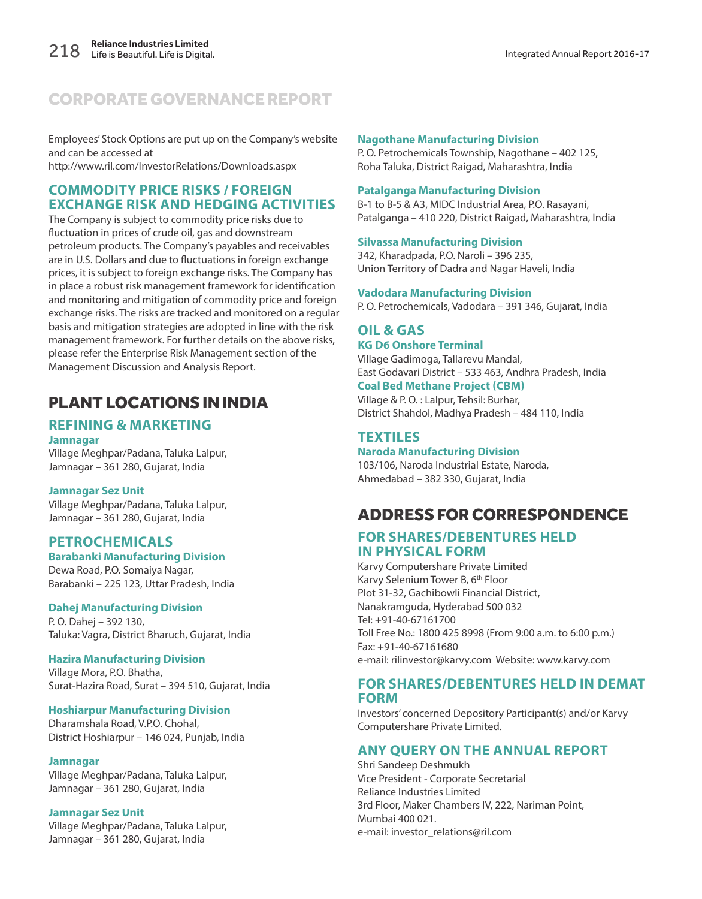Employees' Stock Options are put up on the Company's website and can be accessed at http://www.ril.com/InvestorRelations/Downloads.aspx

### **COMMODITY PRICE RISKS / FOREIGN EXCHANGE RISK AND HEDGING ACTIVITIES**

The Company is subject to commodity price risks due to fluctuation in prices of crude oil, gas and downstream petroleum products. The Company's payables and receivables are in U.S. Dollars and due to fluctuations in foreign exchange prices, it is subject to foreign exchange risks. The Company has in place a robust risk management framework for identification and monitoring and mitigation of commodity price and foreign exchange risks. The risks are tracked and monitored on a regular basis and mitigation strategies are adopted in line with the risk management framework. For further details on the above risks, please refer the Enterprise Risk Management section of the Management Discussion and Analysis Report.

### PLANT LOCATIONS IN INDIA

#### **REFINING & MARKETING Jamnagar**

Village Meghpar/Padana, Taluka Lalpur, Jamnagar – 361 280, Gujarat, India

#### **Jamnagar Sez Unit**

Village Meghpar/Padana, Taluka Lalpur, Jamnagar – 361 280, Gujarat, India

#### **PETROCHEMICALS Barabanki Manufacturing Division**

Dewa Road, P.O. Somaiya Nagar, Barabanki – 225 123, Uttar Pradesh, India

#### **Dahej Manufacturing Division**

P. O. Dahej – 392 130, Taluka: Vagra, District Bharuch, Gujarat, India

#### **Hazira Manufacturing Division**

Village Mora, P.O. Bhatha, Surat-Hazira Road, Surat – 394 510, Gujarat, India

#### **Hoshiarpur Manufacturing Division**

Dharamshala Road, V.P.O. Chohal, District Hoshiarpur – 146 024, Punjab, India

#### **Jamnagar**

Village Meghpar/Padana, Taluka Lalpur, Jamnagar – 361 280, Gujarat, India

#### **Jamnagar Sez Unit**

Village Meghpar/Padana, Taluka Lalpur, Jamnagar – 361 280, Gujarat, India

#### **Nagothane Manufacturing Division**

P. O. Petrochemicals Township, Nagothane – 402 125, Roha Taluka, District Raigad, Maharashtra, India

#### **Patalganga Manufacturing Division**

B-1 to B-5 & A3, MIDC Industrial Area, P.O. Rasayani, Patalganga – 410 220, District Raigad, Maharashtra, India

#### **Silvassa Manufacturing Division**

342, Kharadpada, P.O. Naroli – 396 235, Union Territory of Dadra and Nagar Haveli, India

#### **Vadodara Manufacturing Division**

P. O. Petrochemicals, Vadodara – 391 346, Gujarat, India

### **OIL & GAS**

**KG D6 Onshore Terminal** Village Gadimoga, Tallarevu Mandal,

East Godavari District – 533 463, Andhra Pradesh, India **Coal Bed Methane Project (CBM)**

Village & P. O. : Lalpur, Tehsil: Burhar, District Shahdol, Madhya Pradesh – 484 110, India

### **TEXTILES**

**Naroda Manufacturing Division**

103/106, Naroda Industrial Estate, Naroda, Ahmedabad – 382 330, Gujarat, India

### ADDRESS FOR CORRESPONDENCE

### **FOR SHARES/DEBENTURES HELD IN PHYSICAL FORM**

Karvy Computershare Private Limited Karvy Selenium Tower B, 6<sup>th</sup> Floor Plot 31-32, Gachibowli Financial District, Nanakramguda, Hyderabad 500 032 Tel: +91-40-67161700 Toll Free No.: 1800 425 8998 (From 9:00 a.m. to 6:00 p.m.) Fax: +91-40-67161680 e-mail: rilinvestor@karvy.com Website: www.karvy.com

### **FOR SHARES/DEBENTURES HELD IN DEMAT FORM**

Investors' concerned Depository Participant(s) and/or Karvy Computershare Private Limited.

### **ANY QUERY ON THE ANNUAL REPORT**

Shri Sandeep Deshmukh Vice President - Corporate Secretarial Reliance Industries Limited 3rd Floor, Maker Chambers IV, 222, Nariman Point, Mumbai 400 021. e-mail: investor\_relations@ril.com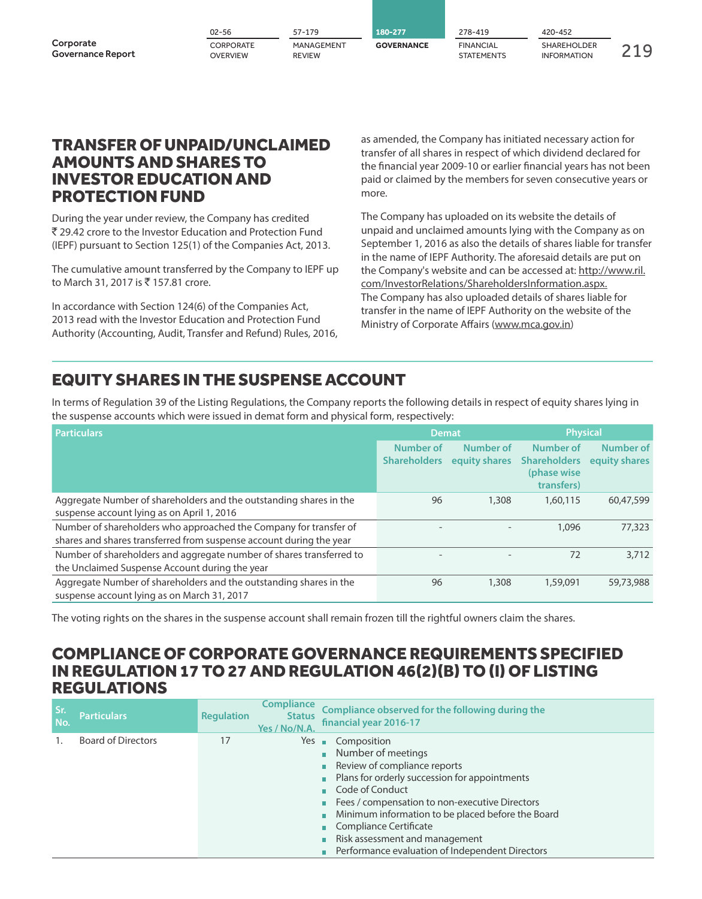|                                       | 02-56                        | 57-179                      | 180-277           | 278-419                               | 420-452                                  |     |
|---------------------------------------|------------------------------|-----------------------------|-------------------|---------------------------------------|------------------------------------------|-----|
| Corporate<br><b>Governance Report</b> | CORPORATE<br><b>OVERVIEW</b> | MANAGEMENT<br><b>REVIEW</b> | <b>GOVERNANCE</b> | <b>FINANCIAL</b><br><b>STATEMENTS</b> | <b>SHAREHOLDER</b><br><b>INFORMATION</b> | 210 |

### TRANSFER OF UNPAID/UNCLAIMED AMOUNTS AND SHARES TO INVESTOR EDUCATION AND PROTECTION FUND

During the year under review, the Company has credited ` 29.42 crore to the Investor Education and Protection Fund (IEPF) pursuant to Section 125(1) of the Companies Act, 2013.

The cumulative amount transferred by the Company to IEPF up to March 31, 2017 is ₹157.81 crore.

In accordance with Section 124(6) of the Companies Act, 2013 read with the Investor Education and Protection Fund Authority (Accounting, Audit, Transfer and Refund) Rules, 2016, as amended, the Company has initiated necessary action for transfer of all shares in respect of which dividend declared for the financial year 2009-10 or earlier financial years has not been paid or claimed by the members for seven consecutive years or more.

The Company has uploaded on its website the details of unpaid and unclaimed amounts lying with the Company as on September 1, 2016 as also the details of shares liable for transfer in the name of IEPF Authority. The aforesaid details are put on the Company's website and can be accessed at: http://www.ril. com/InvestorRelations/ShareholdersInformation.aspx. The Company has also uploaded details of shares liable for transfer in the name of IEPF Authority on the website of the Ministry of Corporate Affairs (www.mca.gov.in)

### EQUITY SHARES IN THE SUSPENSE ACCOUNT

In terms of Regulation 39 of the Listing Regulations, the Company reports the following details in respect of equity shares lying in the suspense accounts which were issued in demat form and physical form, respectively:

| <b>Particulars</b>                                                                                                                       | <b>Demat</b>                     |                            | <b>Physical</b>                                               |                            |
|------------------------------------------------------------------------------------------------------------------------------------------|----------------------------------|----------------------------|---------------------------------------------------------------|----------------------------|
|                                                                                                                                          | Number of<br><b>Shareholders</b> | Number of<br>equity shares | Number of<br><b>Shareholders</b><br>(phase wise<br>transfers) | Number of<br>equity shares |
| Aggregate Number of shareholders and the outstanding shares in the<br>suspense account lying as on April 1, 2016                         | 96                               | 1,308                      | 1,60,115                                                      | 60,47,599                  |
| Number of shareholders who approached the Company for transfer of<br>shares and shares transferred from suspense account during the year |                                  |                            | 1,096                                                         | 77,323                     |
| Number of shareholders and aggregate number of shares transferred to<br>the Unclaimed Suspense Account during the year                   |                                  |                            | 72                                                            | 3,712                      |
| Aggregate Number of shareholders and the outstanding shares in the<br>suspense account lying as on March 31, 2017                        | 96                               | 1,308                      | 1,59,091                                                      | 59,73,988                  |

The voting rights on the shares in the suspense account shall remain frozen till the rightful owners claim the shares.

### COMPLIANCE OF CORPORATE GOVERNANCE REQUIREMENTS SPECIFIED IN REGULATION 17 TO 27 AND REGULATION 46(2)(B) TO (I) OF LISTING REGULATIONS

| Sr.<br>No. | <b>Particulars</b>        | <b>Regulation</b> | <b>Compliance</b><br><b>Status</b><br>Yes / No/N.A. | Compliance observed for the following during the<br>financial year 2016-17                                                                                                                                                                                                                                                                                               |
|------------|---------------------------|-------------------|-----------------------------------------------------|--------------------------------------------------------------------------------------------------------------------------------------------------------------------------------------------------------------------------------------------------------------------------------------------------------------------------------------------------------------------------|
|            | <b>Board of Directors</b> | 17                |                                                     | $Yes \t m$ Composition<br>• Number of meetings<br>Review of compliance reports<br>Plans for orderly succession for appointments<br>Code of Conduct<br>Fees / compensation to non-executive Directors<br>Minimum information to be placed before the Board<br>Compliance Certificate<br>Risk assessment and management<br>Performance evaluation of Independent Directors |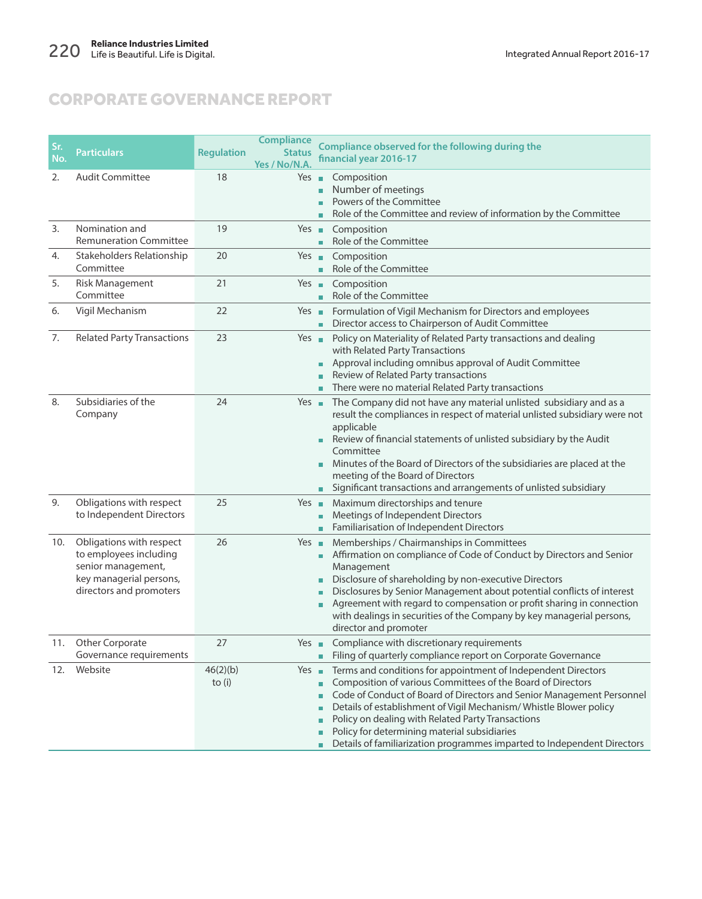| Sr. | <b>Particulars</b>                                                                                                             | <b>Regulation</b>    | <b>Compliance</b><br><b>Status</b> | Compliance observed for the following during the                                                                                                                                                                                                                                                                                                                                                                                                                          |
|-----|--------------------------------------------------------------------------------------------------------------------------------|----------------------|------------------------------------|---------------------------------------------------------------------------------------------------------------------------------------------------------------------------------------------------------------------------------------------------------------------------------------------------------------------------------------------------------------------------------------------------------------------------------------------------------------------------|
| No. |                                                                                                                                |                      | Yes / No/N.A                       | financial year 2016-17                                                                                                                                                                                                                                                                                                                                                                                                                                                    |
| 2.  | <b>Audit Committee</b>                                                                                                         | 18                   | Yes $\blacksquare$                 | Composition<br>Number of meetings<br>Ĥ.<br>Powers of the Committee<br>m.<br>Role of the Committee and review of information by the Committee<br>m.                                                                                                                                                                                                                                                                                                                        |
| 3.  | Nomination and<br><b>Remuneration Committee</b>                                                                                | 19                   | $Yes \blacksquare$                 | Composition<br>Role of the Committee<br>m.                                                                                                                                                                                                                                                                                                                                                                                                                                |
| 4.  | Stakeholders Relationship<br>Committee                                                                                         | 20                   | Yes $\blacksquare$                 | Composition<br>Role of the Committee                                                                                                                                                                                                                                                                                                                                                                                                                                      |
| 5.  | <b>Risk Management</b><br>Committee                                                                                            | 21                   | $Yes \blacksquare$                 | Composition<br>Role of the Committee<br>m.                                                                                                                                                                                                                                                                                                                                                                                                                                |
| 6.  | Vigil Mechanism                                                                                                                | 22                   | Yes $\blacksquare$                 | Formulation of Vigil Mechanism for Directors and employees<br>Director access to Chairperson of Audit Committee<br>m.                                                                                                                                                                                                                                                                                                                                                     |
| 7.  | <b>Related Party Transactions</b>                                                                                              | 23                   | Yes $\blacksquare$                 | Policy on Materiality of Related Party transactions and dealing<br>with Related Party Transactions<br>Approval including omnibus approval of Audit Committee<br>Review of Related Party transactions<br>• There were no material Related Party transactions                                                                                                                                                                                                               |
| 8.  | Subsidiaries of the<br>Company                                                                                                 | 24                   |                                    | Yes The Company did not have any material unlisted subsidiary and as a<br>result the compliances in respect of material unlisted subsidiary were not<br>applicable<br>Review of financial statements of unlisted subsidiary by the Audit<br>m.<br>Committee<br>Minutes of the Board of Directors of the subsidiaries are placed at the<br>п<br>meeting of the Board of Directors<br>Significant transactions and arrangements of unlisted subsidiary<br>m.                |
| 9.  | Obligations with respect<br>to Independent Directors                                                                           | 25                   | $Yes \blacksquare$                 | Maximum directorships and tenure<br>Meetings of Independent Directors<br>Familiarisation of Independent Directors                                                                                                                                                                                                                                                                                                                                                         |
| 10. | Obligations with respect<br>to employees including<br>senior management,<br>key managerial persons,<br>directors and promoters | 26                   |                                    | Yes Memberships / Chairmanships in Committees<br>Affirmation on compliance of Code of Conduct by Directors and Senior<br>m.<br>Management<br>Disclosure of shareholding by non-executive Directors<br>п<br>Disclosures by Senior Management about potential conflicts of interest<br>ш<br>Agreement with regard to compensation or profit sharing in connection<br>п<br>with dealings in securities of the Company by key managerial persons,<br>director and promoter    |
| 11. | Other Corporate<br>Governance requirements                                                                                     | 27                   | Yes $\blacksquare$                 | Compliance with discretionary requirements<br>Filing of quarterly compliance report on Corporate Governance<br>m.                                                                                                                                                                                                                                                                                                                                                         |
| 12. | Website                                                                                                                        | 46(2)(b)<br>to $(i)$ | Yes $\blacksquare$                 | Terms and conditions for appointment of Independent Directors<br>Composition of various Committees of the Board of Directors<br>n<br>Code of Conduct of Board of Directors and Senior Management Personnel<br>п<br>Details of establishment of Vigil Mechanism/Whistle Blower policy<br>ш<br>Policy on dealing with Related Party Transactions<br>Policy for determining material subsidiaries<br>Details of familiarization programmes imparted to Independent Directors |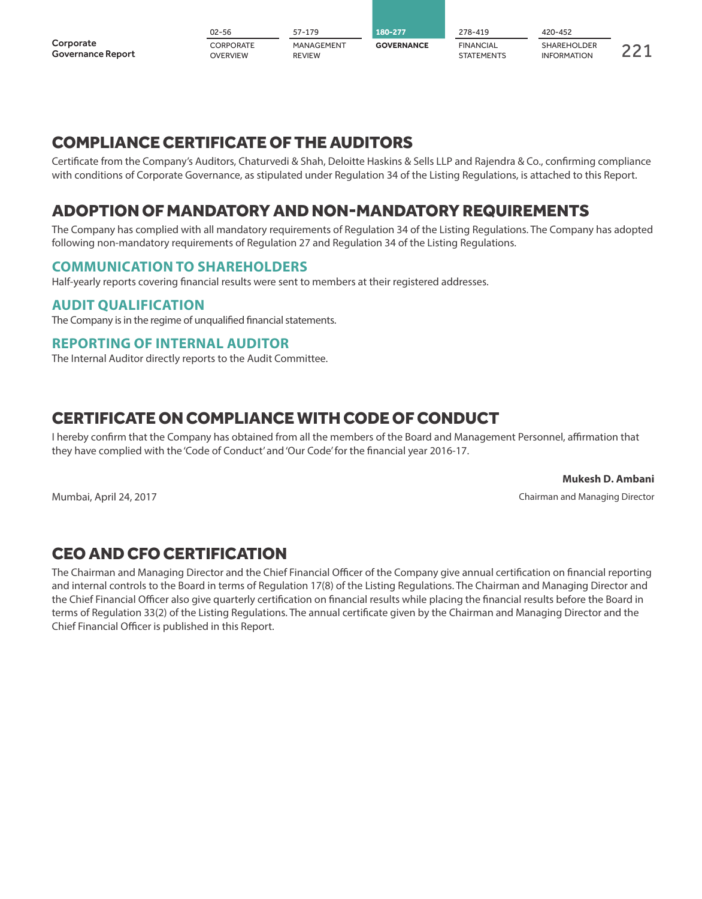|                                       | 02-56                        | $57 - 179$                  | 180-277           | 278-419                        | 420-452                                  |  |
|---------------------------------------|------------------------------|-----------------------------|-------------------|--------------------------------|------------------------------------------|--|
| Corporate<br><b>Governance Report</b> | CORPORATE<br><b>OVERVIEW</b> | MANAGEMENT<br><b>REVIEW</b> | <b>GOVERNANCE</b> | <b>FINANCIAL</b><br>STATEMENTS | <b>SHAREHOLDER</b><br><b>INFORMATION</b> |  |

### COMPLIANCE CERTIFICATE OF THE AUDITORS

Certificate from the Company's Auditors, Chaturvedi & Shah, Deloitte Haskins & Sells LLP and Rajendra & Co., confirming compliance with conditions of Corporate Governance, as stipulated under Regulation 34 of the Listing Regulations, is attached to this Report.

### ADOPTION OF MANDATORY AND NON-MANDATORY REQUIREMENTS

The Company has complied with all mandatory requirements of Regulation 34 of the Listing Regulations. The Company has adopted following non-mandatory requirements of Regulation 27 and Regulation 34 of the Listing Regulations.

### **COMMUNICATION TO SHAREHOLDERS**

Half-yearly reports covering financial results were sent to members at their registered addresses.

### **AUDIT QUALIFICATION**

The Company is in the regime of unqualified financial statements.

### **REPORTING OF INTERNAL AUDITOR**

The Internal Auditor directly reports to the Audit Committee.

### CERTIFICATE ON COMPLIANCE WITH CODE OF CONDUCT

I hereby confirm that the Company has obtained from all the members of the Board and Management Personnel, affirmation that they have complied with the 'Code of Conduct' and 'Our Code' for the financial year 2016-17.

**Mukesh D. Ambani** Mumbai, April 24, 2017 Chairman and Managing Director

### CEO AND CFO CERTIFICATION

The Chairman and Managing Director and the Chief Financial Officer of the Company give annual certification on financial reporting and internal controls to the Board in terms of Regulation 17(8) of the Listing Regulations. The Chairman and Managing Director and the Chief Financial Officer also give quarterly certification on financial results while placing the financial results before the Board in terms of Regulation 33(2) of the Listing Regulations. The annual certificate given by the Chairman and Managing Director and the Chief Financial Officer is published in this Report.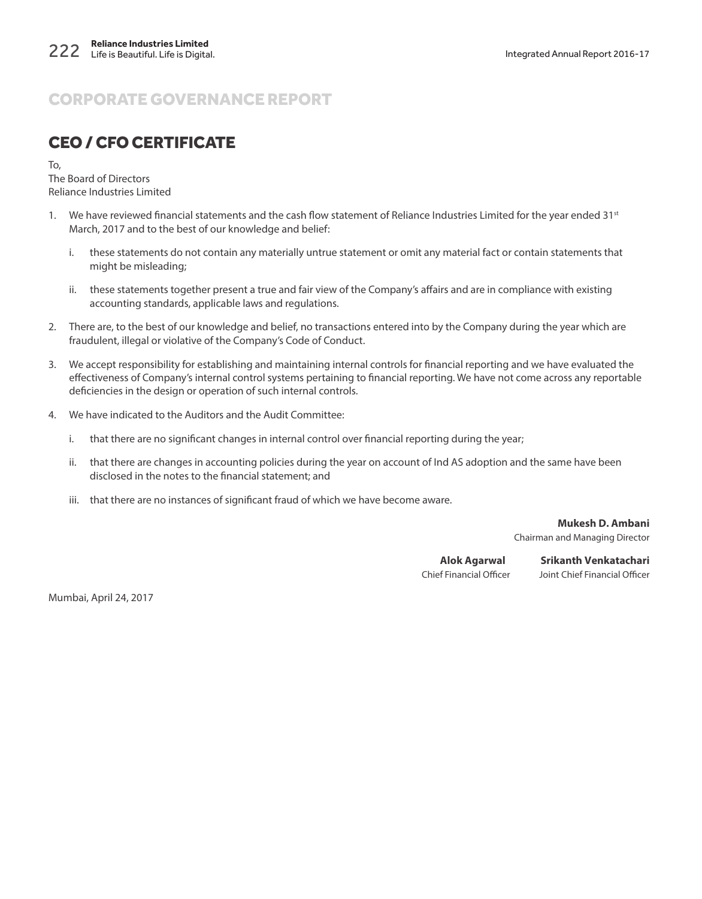### CEO / CFO CERTIFICATE

To,

The Board of Directors Reliance Industries Limited

- 1. We have reviewed financial statements and the cash flow statement of Reliance Industries Limited for the year ended 31st March, 2017 and to the best of our knowledge and belief:
	- i. these statements do not contain any materially untrue statement or omit any material fact or contain statements that might be misleading;
	- ii. these statements together present a true and fair view of the Company's affairs and are in compliance with existing accounting standards, applicable laws and regulations.
- 2. There are, to the best of our knowledge and belief, no transactions entered into by the Company during the year which are fraudulent, illegal or violative of the Company's Code of Conduct.
- 3. We accept responsibility for establishing and maintaining internal controls for financial reporting and we have evaluated the effectiveness of Company's internal control systems pertaining to financial reporting. We have not come across any reportable deficiencies in the design or operation of such internal controls.
- 4. We have indicated to the Auditors and the Audit Committee:
	- i. that there are no significant changes in internal control over financial reporting during the year;
	- ii. that there are changes in accounting policies during the year on account of Ind AS adoption and the same have been disclosed in the notes to the financial statement; and
	- iii. that there are no instances of significant fraud of which we have become aware.

**Mukesh D. Ambani** Chairman and Managing Director

**Alok Agarwal Srikanth Venkatachari** Chief Financial Officer Joint Chief Financial Officer

Mumbai, April 24, 2017